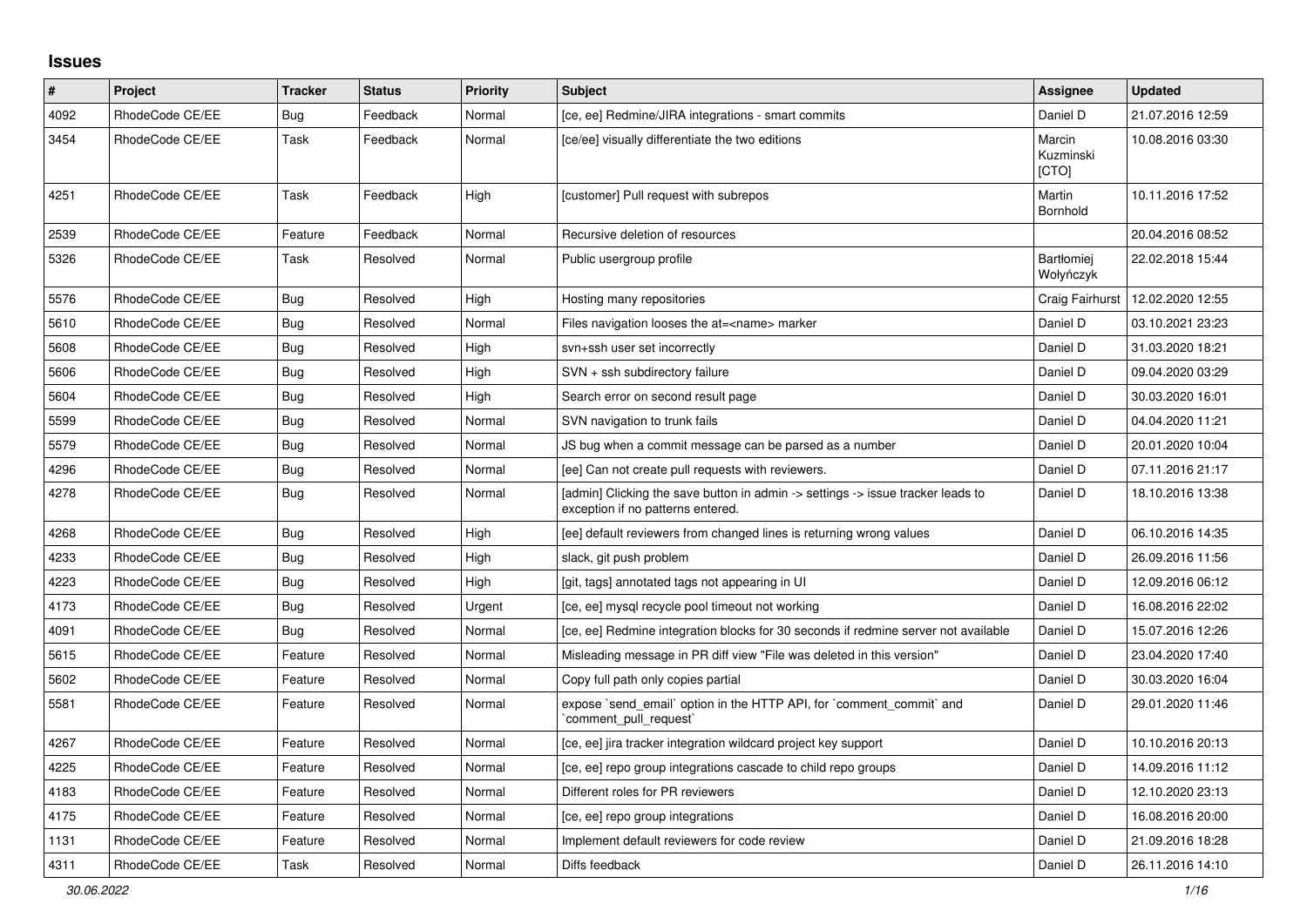## **Issues**

| #    | Project         | <b>Tracker</b> | <b>Status</b> | <b>Priority</b> | <b>Subject</b>                                                                                                       | Assignee                            | <b>Updated</b>   |
|------|-----------------|----------------|---------------|-----------------|----------------------------------------------------------------------------------------------------------------------|-------------------------------------|------------------|
| 4092 | RhodeCode CE/EE | Bug            | Feedback      | Normal          | [ce, ee] Redmine/JIRA integrations - smart commits                                                                   | Daniel D                            | 21.07.2016 12:59 |
| 3454 | RhodeCode CE/EE | Task           | Feedback      | Normal          | [ce/ee] visually differentiate the two editions                                                                      | Marcin<br>Kuzminski<br><b>ICTOI</b> | 10.08.2016 03:30 |
| 4251 | RhodeCode CE/EE | <b>Task</b>    | Feedback      | High            | [customer] Pull request with subrepos                                                                                | Martin<br><b>Bornhold</b>           | 10.11.2016 17:52 |
| 2539 | RhodeCode CE/EE | Feature        | Feedback      | Normal          | Recursive deletion of resources                                                                                      |                                     | 20.04.2016 08:52 |
| 5326 | RhodeCode CE/EE | Task           | Resolved      | Normal          | Public usergroup profile                                                                                             | Bartłomiej<br>Wołyńczyk             | 22.02.2018 15:44 |
| 5576 | RhodeCode CE/EE | Bug            | Resolved      | High            | Hosting many repositories                                                                                            | Craig Fairhurst                     | 12.02.2020 12:55 |
| 5610 | RhodeCode CE/EE | Bug            | Resolved      | Normal          | Files navigation looses the at= <name> marker</name>                                                                 | Daniel D                            | 03.10.2021 23:23 |
| 5608 | RhodeCode CE/EE | Bug            | Resolved      | High            | svn+ssh user set incorrectly                                                                                         | Daniel D                            | 31.03.2020 18:21 |
| 5606 | RhodeCode CE/EE | Bug            | Resolved      | High            | SVN + ssh subdirectory failure                                                                                       | Daniel D                            | 09.04.2020 03:29 |
| 5604 | RhodeCode CE/EE | Bug            | Resolved      | High            | Search error on second result page                                                                                   | Daniel D                            | 30.03.2020 16:01 |
| 5599 | RhodeCode CE/EE | Bug            | Resolved      | Normal          | SVN navigation to trunk fails                                                                                        | Daniel D                            | 04.04.2020 11:21 |
| 5579 | RhodeCode CE/EE | <b>Bug</b>     | Resolved      | Normal          | JS bug when a commit message can be parsed as a number                                                               | Daniel D                            | 20.01.2020 10:04 |
| 4296 | RhodeCode CE/EE | Bug            | Resolved      | Normal          | [ee] Can not create pull requests with reviewers.                                                                    | Daniel D                            | 07.11.2016 21:17 |
| 4278 | RhodeCode CE/EE | <b>Bug</b>     | Resolved      | Normal          | [admin] Clicking the save button in admin -> settings -> issue tracker leads to<br>exception if no patterns entered. | Daniel D                            | 18.10.2016 13:38 |
| 4268 | RhodeCode CE/EE | Bug            | Resolved      | High            | [ee] default reviewers from changed lines is returning wrong values                                                  | Daniel D                            | 06.10.2016 14:35 |
| 4233 | RhodeCode CE/EE | Bug            | Resolved      | High            | slack, git push problem                                                                                              | Daniel D                            | 26.09.2016 11:56 |
| 4223 | RhodeCode CE/EE | Bug            | Resolved      | High            | [git, tags] annotated tags not appearing in UI                                                                       | Daniel D                            | 12.09.2016 06:12 |
| 4173 | RhodeCode CE/EE | <b>Bug</b>     | Resolved      | Urgent          | [ce, ee] mysql recycle pool timeout not working                                                                      | Daniel D                            | 16.08.2016 22:02 |
| 4091 | RhodeCode CE/EE | Bug            | Resolved      | Normal          | [ce, ee] Redmine integration blocks for 30 seconds if redmine server not available                                   | Daniel D                            | 15.07.2016 12:26 |
| 5615 | RhodeCode CE/EE | Feature        | Resolved      | Normal          | Misleading message in PR diff view "File was deleted in this version"                                                | Daniel D                            | 23.04.2020 17:40 |
| 5602 | RhodeCode CE/EE | Feature        | Resolved      | Normal          | Copy full path only copies partial                                                                                   | Daniel D                            | 30.03.2020 16:04 |
| 5581 | RhodeCode CE/EE | Feature        | Resolved      | Normal          | expose `send_email` option in the HTTP API, for `comment_commit` and<br>comment pull request                         | Daniel D                            | 29.01.2020 11:46 |
| 4267 | RhodeCode CE/EE | Feature        | Resolved      | Normal          | [ce, ee] jira tracker integration wildcard project key support                                                       | Daniel D                            | 10.10.2016 20:13 |
| 4225 | RhodeCode CE/EE | Feature        | Resolved      | Normal          | [ce, ee] repo group integrations cascade to child repo groups                                                        | Daniel D                            | 14.09.2016 11:12 |
| 4183 | RhodeCode CE/EE | Feature        | Resolved      | Normal          | Different roles for PR reviewers                                                                                     | Daniel D                            | 12.10.2020 23:13 |
| 4175 | RhodeCode CE/EE | Feature        | Resolved      | Normal          | [ce, ee] repo group integrations                                                                                     | Daniel D                            | 16.08.2016 20:00 |
| 1131 | RhodeCode CE/EE | Feature        | Resolved      | Normal          | Implement default reviewers for code review                                                                          | Daniel D                            | 21.09.2016 18:28 |
| 4311 | RhodeCode CE/EE | Task           | Resolved      | Normal          | Diffs feedback                                                                                                       | Daniel D                            | 26.11.2016 14:10 |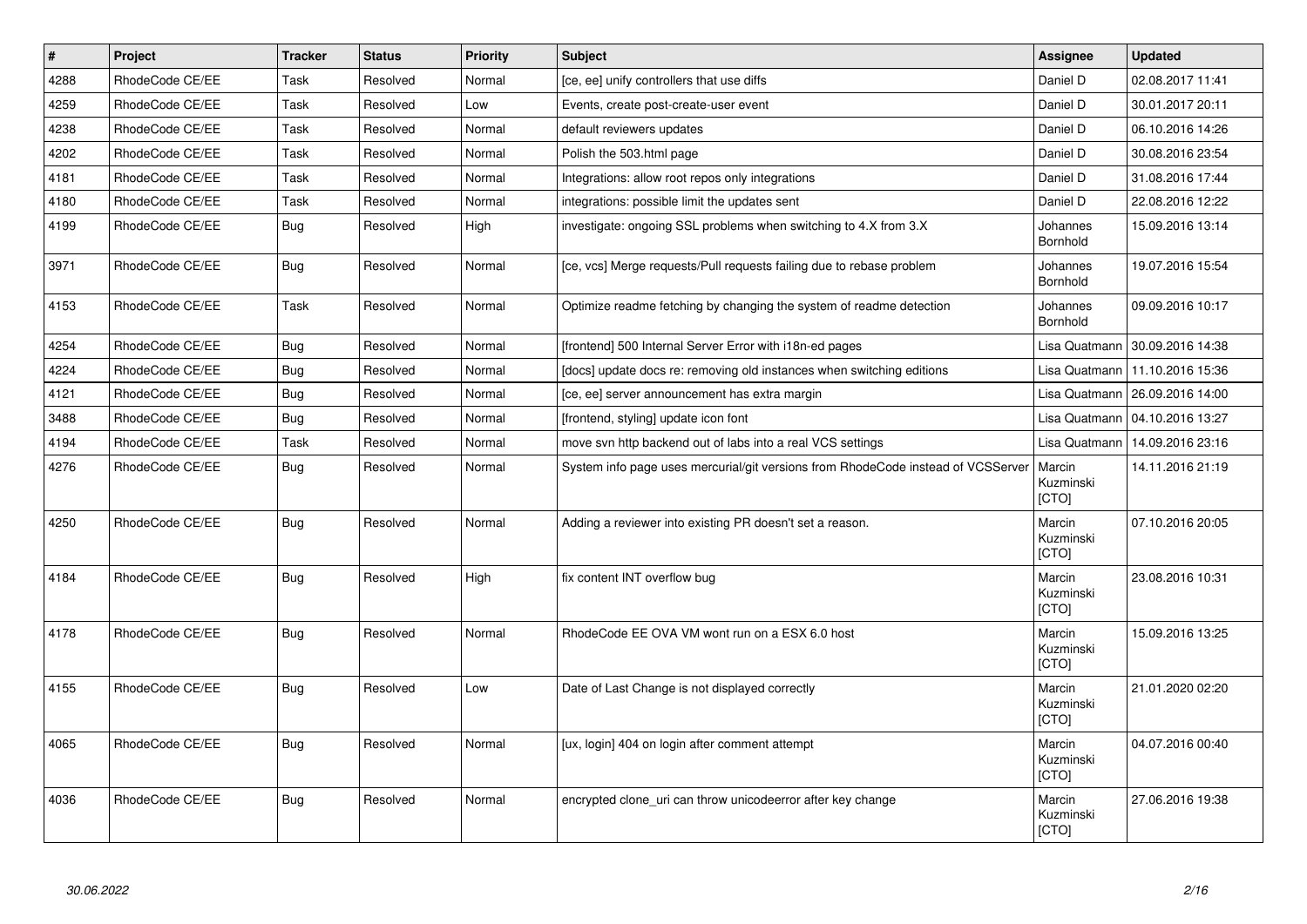| $\vert$ # | Project         | <b>Tracker</b> | <b>Status</b> | <b>Priority</b> | <b>Subject</b>                                                                   | Assignee                     | <b>Updated</b>                   |
|-----------|-----------------|----------------|---------------|-----------------|----------------------------------------------------------------------------------|------------------------------|----------------------------------|
| 4288      | RhodeCode CE/EE | Task           | Resolved      | Normal          | [ce, ee] unify controllers that use diffs                                        | Daniel D                     | 02.08.2017 11:41                 |
| 4259      | RhodeCode CE/EE | Task           | Resolved      | Low             | Events, create post-create-user event                                            | Daniel D                     | 30.01.2017 20:11                 |
| 4238      | RhodeCode CE/EE | Task           | Resolved      | Normal          | default reviewers updates                                                        | Daniel D                     | 06.10.2016 14:26                 |
| 4202      | RhodeCode CE/EE | Task           | Resolved      | Normal          | Polish the 503.html page                                                         | Daniel D                     | 30.08.2016 23:54                 |
| 4181      | RhodeCode CE/EE | Task           | Resolved      | Normal          | Integrations: allow root repos only integrations                                 | Daniel D                     | 31.08.2016 17:44                 |
| 4180      | RhodeCode CE/EE | Task           | Resolved      | Normal          | integrations: possible limit the updates sent                                    | Daniel D                     | 22.08.2016 12:22                 |
| 4199      | RhodeCode CE/EE | Bug            | Resolved      | High            | investigate: ongoing SSL problems when switching to 4.X from 3.X                 | Johannes<br><b>Bornhold</b>  | 15.09.2016 13:14                 |
| 3971      | RhodeCode CE/EE | Bug            | Resolved      | Normal          | [ce, vcs] Merge requests/Pull requests failing due to rebase problem             | Johannes<br>Bornhold         | 19.07.2016 15:54                 |
| 4153      | RhodeCode CE/EE | Task           | Resolved      | Normal          | Optimize readme fetching by changing the system of readme detection              | Johannes<br>Bornhold         | 09.09.2016 10:17                 |
| 4254      | RhodeCode CE/EE | <b>Bug</b>     | Resolved      | Normal          | [frontend] 500 Internal Server Error with i18n-ed pages                          | Lisa Quatmann                | 30.09.2016 14:38                 |
| 4224      | RhodeCode CE/EE | <b>Bug</b>     | Resolved      | Normal          | [docs] update docs re: removing old instances when switching editions            | Lisa Quatmann                | 11.10.2016 15:36                 |
| 4121      | RhodeCode CE/EE | Bug            | Resolved      | Normal          | [ce, ee] server announcement has extra margin                                    |                              | Lisa Quatmann   26.09.2016 14:00 |
| 3488      | RhodeCode CE/EE | Bug            | Resolved      | Normal          | [frontend, styling] update icon font                                             | Lisa Quatmann                | 04.10.2016 13:27                 |
| 4194      | RhodeCode CE/EE | Task           | Resolved      | Normal          | move svn http backend out of labs into a real VCS settings                       | Lisa Quatmann                | 14.09.2016 23:16                 |
| 4276      | RhodeCode CE/EE | Bug            | Resolved      | Normal          | System info page uses mercurial/git versions from RhodeCode instead of VCSServer | Marcin<br>Kuzminski<br>[CTO] | 14.11.2016 21:19                 |
| 4250      | RhodeCode CE/EE | <b>Bug</b>     | Resolved      | Normal          | Adding a reviewer into existing PR doesn't set a reason.                         | Marcin<br>Kuzminski<br>[CTO] | 07.10.2016 20:05                 |
| 4184      | RhodeCode CE/EE | <b>Bug</b>     | Resolved      | High            | fix content INT overflow bug                                                     | Marcin<br>Kuzminski<br>[CTO] | 23.08.2016 10:31                 |
| 4178      | RhodeCode CE/EE | Bug            | Resolved      | Normal          | RhodeCode EE OVA VM wont run on a ESX 6.0 host                                   | Marcin<br>Kuzminski<br>[CTO] | 15.09.2016 13:25                 |
| 4155      | RhodeCode CE/EE | <b>Bug</b>     | Resolved      | Low             | Date of Last Change is not displayed correctly                                   | Marcin<br>Kuzminski<br>[CTO] | 21.01.2020 02:20                 |
| 4065      | RhodeCode CE/EE | <b>Bug</b>     | Resolved      | Normal          | [ux, login] 404 on login after comment attempt                                   | Marcin<br>Kuzminski<br>[CTO] | 04.07.2016 00:40                 |
| 4036      | RhodeCode CE/EE | <b>Bug</b>     | Resolved      | Normal          | encrypted clone_uri can throw unicodeerror after key change                      | Marcin<br>Kuzminski<br>[CTO] | 27.06.2016 19:38                 |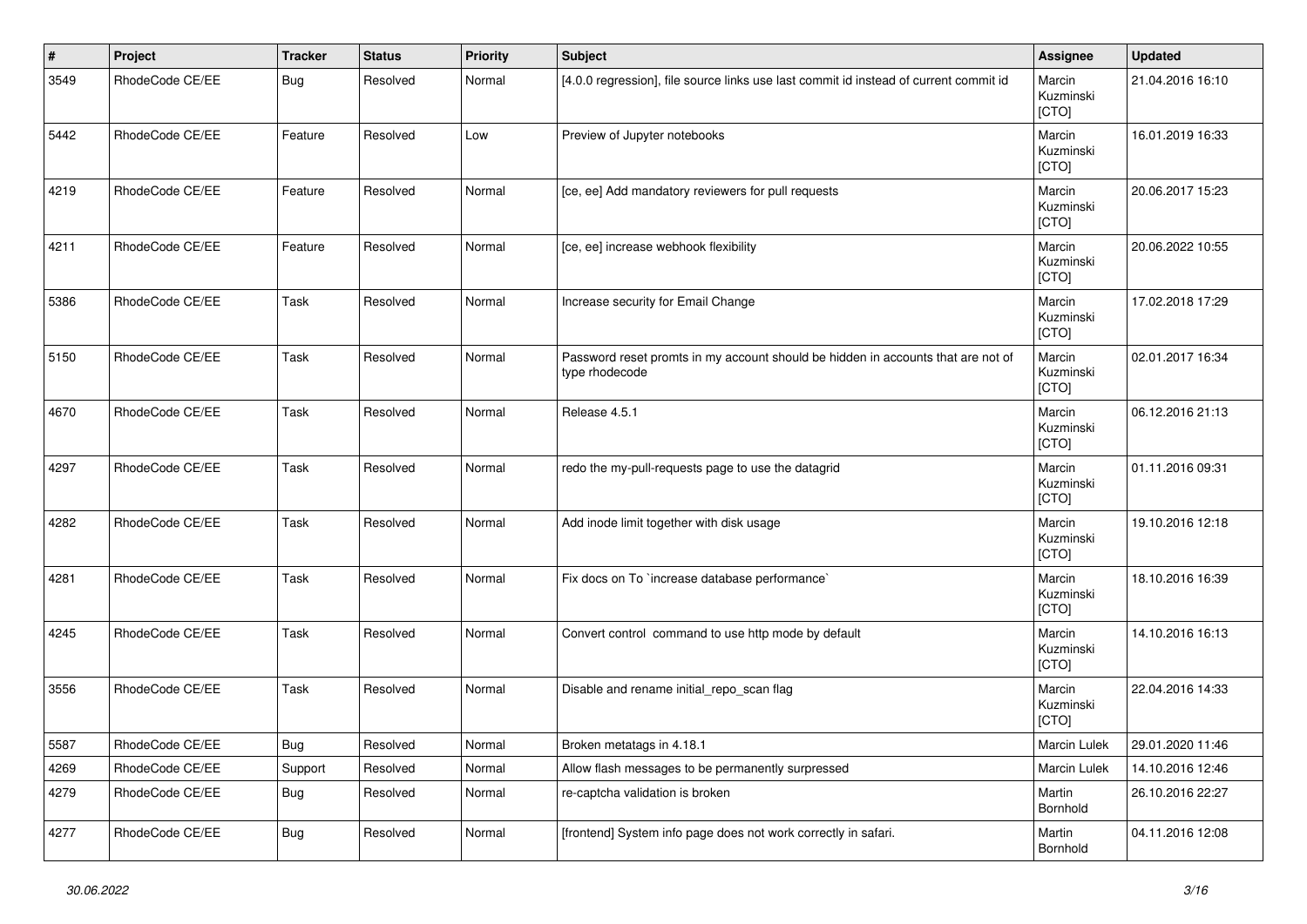| #    | Project         | <b>Tracker</b> | <b>Status</b> | <b>Priority</b> | Subject                                                                                            | Assignee                     | <b>Updated</b>   |
|------|-----------------|----------------|---------------|-----------------|----------------------------------------------------------------------------------------------------|------------------------------|------------------|
| 3549 | RhodeCode CE/EE | Bug            | Resolved      | Normal          | [4.0.0 regression], file source links use last commit id instead of current commit id              | Marcin<br>Kuzminski<br>[CTO] | 21.04.2016 16:10 |
| 5442 | RhodeCode CE/EE | Feature        | Resolved      | Low             | Preview of Jupyter notebooks                                                                       | Marcin<br>Kuzminski<br>[CTO] | 16.01.2019 16:33 |
| 4219 | RhodeCode CE/EE | Feature        | Resolved      | Normal          | [ce, ee] Add mandatory reviewers for pull requests                                                 | Marcin<br>Kuzminski<br>[CTO] | 20.06.2017 15:23 |
| 4211 | RhodeCode CE/EE | Feature        | Resolved      | Normal          | [ce, ee] increase webhook flexibility                                                              | Marcin<br>Kuzminski<br>[CTO] | 20.06.2022 10:55 |
| 5386 | RhodeCode CE/EE | Task           | Resolved      | Normal          | Increase security for Email Change                                                                 | Marcin<br>Kuzminski<br>[CTO] | 17.02.2018 17:29 |
| 5150 | RhodeCode CE/EE | Task           | Resolved      | Normal          | Password reset promts in my account should be hidden in accounts that are not of<br>type rhodecode | Marcin<br>Kuzminski<br>[CTO] | 02.01.2017 16:34 |
| 4670 | RhodeCode CE/EE | Task           | Resolved      | Normal          | Release 4.5.1                                                                                      | Marcin<br>Kuzminski<br>[CTO] | 06.12.2016 21:13 |
| 4297 | RhodeCode CE/EE | Task           | Resolved      | Normal          | redo the my-pull-requests page to use the datagrid                                                 | Marcin<br>Kuzminski<br>[CTO] | 01.11.2016 09:31 |
| 4282 | RhodeCode CE/EE | Task           | Resolved      | Normal          | Add inode limit together with disk usage                                                           | Marcin<br>Kuzminski<br>[CTO] | 19.10.2016 12:18 |
| 4281 | RhodeCode CE/EE | Task           | Resolved      | Normal          | Fix docs on To `increase database performance`                                                     | Marcin<br>Kuzminski<br>[CTO] | 18.10.2016 16:39 |
| 4245 | RhodeCode CE/EE | Task           | Resolved      | Normal          | Convert control command to use http mode by default                                                | Marcin<br>Kuzminski<br>[CTO] | 14.10.2016 16:13 |
| 3556 | RhodeCode CE/EE | Task           | Resolved      | Normal          | Disable and rename initial_repo_scan flag                                                          | Marcin<br>Kuzminski<br>[CTO] | 22.04.2016 14:33 |
| 5587 | RhodeCode CE/EE | <b>Bug</b>     | Resolved      | Normal          | Broken metatags in 4.18.1                                                                          | Marcin Lulek                 | 29.01.2020 11:46 |
| 4269 | RhodeCode CE/EE | Support        | Resolved      | Normal          | Allow flash messages to be permanently surpressed                                                  | Marcin Lulek                 | 14.10.2016 12:46 |
| 4279 | RhodeCode CE/EE | <b>Bug</b>     | Resolved      | Normal          | re-captcha validation is broken                                                                    | Martin<br>Bornhold           | 26.10.2016 22:27 |
| 4277 | RhodeCode CE/EE | <b>Bug</b>     | Resolved      | Normal          | [frontend] System info page does not work correctly in safari.                                     | Martin<br>Bornhold           | 04.11.2016 12:08 |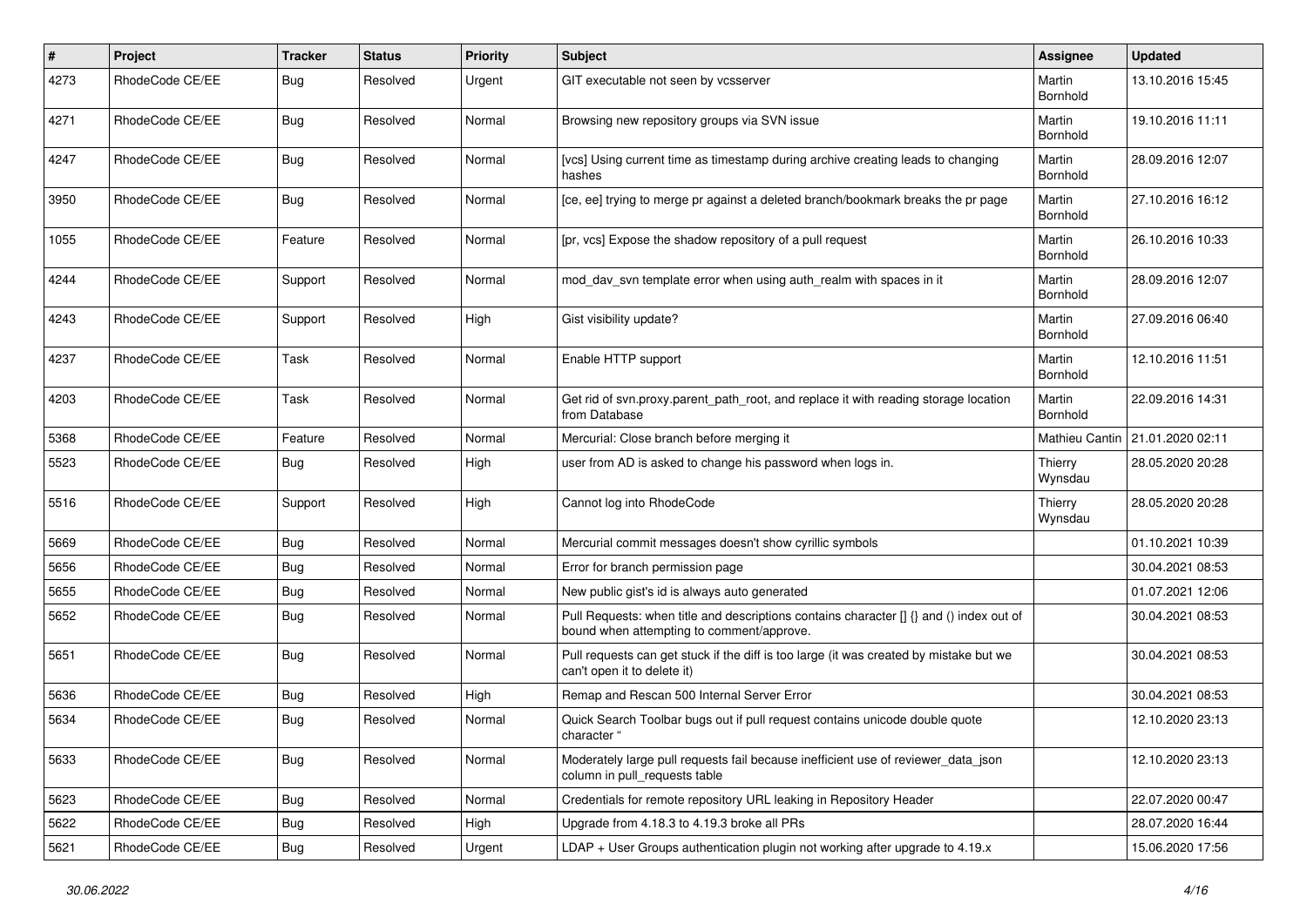| $\#$ | Project         | Tracker    | <b>Status</b> | <b>Priority</b> | <b>Subject</b>                                                                                                                       | Assignee           | <b>Updated</b>   |
|------|-----------------|------------|---------------|-----------------|--------------------------------------------------------------------------------------------------------------------------------------|--------------------|------------------|
| 4273 | RhodeCode CE/EE | Bug        | Resolved      | Urgent          | GIT executable not seen by vcsserver                                                                                                 | Martin<br>Bornhold | 13.10.2016 15:45 |
| 4271 | RhodeCode CE/EE | <b>Bug</b> | Resolved      | Normal          | Browsing new repository groups via SVN issue                                                                                         | Martin<br>Bornhold | 19.10.2016 11:11 |
| 4247 | RhodeCode CE/EE | <b>Bug</b> | Resolved      | Normal          | [vcs] Using current time as timestamp during archive creating leads to changing<br>hashes                                            | Martin<br>Bornhold | 28.09.2016 12:07 |
| 3950 | RhodeCode CE/EE | Bug        | Resolved      | Normal          | [ce, ee] trying to merge pr against a deleted branch/bookmark breaks the pr page                                                     | Martin<br>Bornhold | 27.10.2016 16:12 |
| 1055 | RhodeCode CE/EE | Feature    | Resolved      | Normal          | [pr, vcs] Expose the shadow repository of a pull request                                                                             | Martin<br>Bornhold | 26.10.2016 10:33 |
| 4244 | RhodeCode CE/EE | Support    | Resolved      | Normal          | mod day syn template error when using auth realm with spaces in it                                                                   | Martin<br>Bornhold | 28.09.2016 12:07 |
| 4243 | RhodeCode CE/EE | Support    | Resolved      | High            | Gist visibility update?                                                                                                              | Martin<br>Bornhold | 27.09.2016 06:40 |
| 4237 | RhodeCode CE/EE | Task       | Resolved      | Normal          | Enable HTTP support                                                                                                                  | Martin<br>Bornhold | 12.10.2016 11:51 |
| 4203 | RhodeCode CE/EE | Task       | Resolved      | Normal          | Get rid of syn.proxy.parent path root, and replace it with reading storage location<br>from Database                                 | Martin<br>Bornhold | 22.09.2016 14:31 |
| 5368 | RhodeCode CE/EE | Feature    | Resolved      | Normal          | Mercurial: Close branch before merging it                                                                                            | Mathieu Cantin     | 21.01.2020 02:11 |
| 5523 | RhodeCode CE/EE | Bug        | Resolved      | High            | user from AD is asked to change his password when logs in.                                                                           | Thierry<br>Wynsdau | 28.05.2020 20:28 |
| 5516 | RhodeCode CE/EE | Support    | Resolved      | High            | Cannot log into RhodeCode                                                                                                            | Thierry<br>Wynsdau | 28.05.2020 20:28 |
| 5669 | RhodeCode CE/EE | <b>Bug</b> | Resolved      | Normal          | Mercurial commit messages doesn't show cyrillic symbols                                                                              |                    | 01.10.2021 10:39 |
| 5656 | RhodeCode CE/EE | <b>Bug</b> | Resolved      | Normal          | Error for branch permission page                                                                                                     |                    | 30.04.2021 08:53 |
| 5655 | RhodeCode CE/EE | <b>Bug</b> | Resolved      | Normal          | New public gist's id is always auto generated                                                                                        |                    | 01.07.2021 12:06 |
| 5652 | RhodeCode CE/EE | <b>Bug</b> | Resolved      | Normal          | Pull Requests: when title and descriptions contains character [] {} and () index out of<br>bound when attempting to comment/approve. |                    | 30.04.2021 08:53 |
| 5651 | RhodeCode CE/EE | <b>Bug</b> | Resolved      | Normal          | Pull requests can get stuck if the diff is too large (it was created by mistake but we<br>can't open it to delete it)                |                    | 30.04.2021 08:53 |
| 5636 | RhodeCode CE/EE | <b>Bug</b> | Resolved      | High            | Remap and Rescan 500 Internal Server Error                                                                                           |                    | 30.04.2021 08:53 |
| 5634 | RhodeCode CE/EE | <b>Bug</b> | Resolved      | Normal          | Quick Search Toolbar bugs out if pull request contains unicode double quote<br>character "                                           |                    | 12.10.2020 23:13 |
| 5633 | RhodeCode CE/EE | Bug        | Resolved      | Normal          | Moderately large pull requests fail because inefficient use of reviewer_data_json<br>column in pull_requests table                   |                    | 12.10.2020 23:13 |
| 5623 | RhodeCode CE/EE | <b>Bug</b> | Resolved      | Normal          | Credentials for remote repository URL leaking in Repository Header                                                                   |                    | 22.07.2020 00:47 |
| 5622 | RhodeCode CE/EE | <b>Bug</b> | Resolved      | High            | Upgrade from 4.18.3 to 4.19.3 broke all PRs                                                                                          |                    | 28.07.2020 16:44 |
| 5621 | RhodeCode CE/EE | Bug        | Resolved      | Urgent          | LDAP + User Groups authentication plugin not working after upgrade to 4.19.x                                                         |                    | 15.06.2020 17:56 |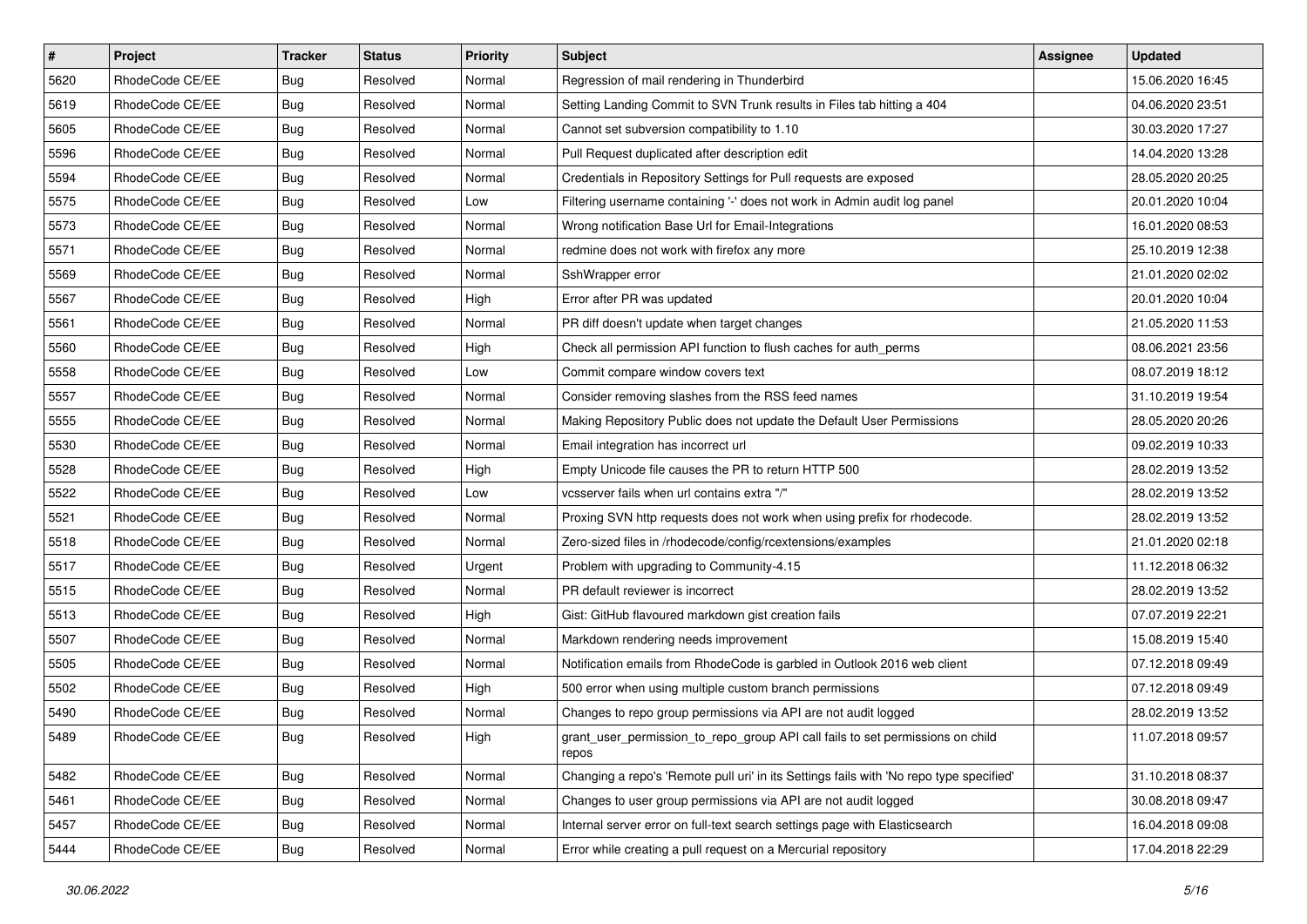| $\pmb{\#}$ | Project         | <b>Tracker</b> | <b>Status</b> | <b>Priority</b> | <b>Subject</b>                                                                          | Assignee | <b>Updated</b>   |
|------------|-----------------|----------------|---------------|-----------------|-----------------------------------------------------------------------------------------|----------|------------------|
| 5620       | RhodeCode CE/EE | Bug            | Resolved      | Normal          | Regression of mail rendering in Thunderbird                                             |          | 15.06.2020 16:45 |
| 5619       | RhodeCode CE/EE | <b>Bug</b>     | Resolved      | Normal          | Setting Landing Commit to SVN Trunk results in Files tab hitting a 404                  |          | 04.06.2020 23:51 |
| 5605       | RhodeCode CE/EE | Bug            | Resolved      | Normal          | Cannot set subversion compatibility to 1.10                                             |          | 30.03.2020 17:27 |
| 5596       | RhodeCode CE/EE | <b>Bug</b>     | Resolved      | Normal          | Pull Request duplicated after description edit                                          |          | 14.04.2020 13:28 |
| 5594       | RhodeCode CE/EE | Bug            | Resolved      | Normal          | Credentials in Repository Settings for Pull requests are exposed                        |          | 28.05.2020 20:25 |
| 5575       | RhodeCode CE/EE | Bug            | Resolved      | Low             | Filtering username containing '-' does not work in Admin audit log panel                |          | 20.01.2020 10:04 |
| 5573       | RhodeCode CE/EE | <b>Bug</b>     | Resolved      | Normal          | Wrong notification Base Url for Email-Integrations                                      |          | 16.01.2020 08:53 |
| 5571       | RhodeCode CE/EE | <b>Bug</b>     | Resolved      | Normal          | redmine does not work with firefox any more                                             |          | 25.10.2019 12:38 |
| 5569       | RhodeCode CE/EE | Bug            | Resolved      | Normal          | SshWrapper error                                                                        |          | 21.01.2020 02:02 |
| 5567       | RhodeCode CE/EE | <b>Bug</b>     | Resolved      | High            | Error after PR was updated                                                              |          | 20.01.2020 10:04 |
| 5561       | RhodeCode CE/EE | Bug            | Resolved      | Normal          | PR diff doesn't update when target changes                                              |          | 21.05.2020 11:53 |
| 5560       | RhodeCode CE/EE | Bug            | Resolved      | High            | Check all permission API function to flush caches for auth_perms                        |          | 08.06.2021 23:56 |
| 5558       | RhodeCode CE/EE | Bug            | Resolved      | Low             | Commit compare window covers text                                                       |          | 08.07.2019 18:12 |
| 5557       | RhodeCode CE/EE | <b>Bug</b>     | Resolved      | Normal          | Consider removing slashes from the RSS feed names                                       |          | 31.10.2019 19:54 |
| 5555       | RhodeCode CE/EE | Bug            | Resolved      | Normal          | Making Repository Public does not update the Default User Permissions                   |          | 28.05.2020 20:26 |
| 5530       | RhodeCode CE/EE | Bug            | Resolved      | Normal          | Email integration has incorrect url                                                     |          | 09.02.2019 10:33 |
| 5528       | RhodeCode CE/EE | <b>Bug</b>     | Resolved      | High            | Empty Unicode file causes the PR to return HTTP 500                                     |          | 28.02.2019 13:52 |
| 5522       | RhodeCode CE/EE | Bug            | Resolved      | Low             | vcsserver fails when url contains extra "/"                                             |          | 28.02.2019 13:52 |
| 5521       | RhodeCode CE/EE | Bug            | Resolved      | Normal          | Proxing SVN http requests does not work when using prefix for rhodecode.                |          | 28.02.2019 13:52 |
| 5518       | RhodeCode CE/EE | Bug            | Resolved      | Normal          | Zero-sized files in /rhodecode/config/rcextensions/examples                             |          | 21.01.2020 02:18 |
| 5517       | RhodeCode CE/EE | <b>Bug</b>     | Resolved      | Urgent          | Problem with upgrading to Community-4.15                                                |          | 11.12.2018 06:32 |
| 5515       | RhodeCode CE/EE | Bug            | Resolved      | Normal          | PR default reviewer is incorrect                                                        |          | 28.02.2019 13:52 |
| 5513       | RhodeCode CE/EE | Bug            | Resolved      | High            | Gist: GitHub flavoured markdown gist creation fails                                     |          | 07.07.2019 22:21 |
| 5507       | RhodeCode CE/EE | Bug            | Resolved      | Normal          | Markdown rendering needs improvement                                                    |          | 15.08.2019 15:40 |
| 5505       | RhodeCode CE/EE | Bug            | Resolved      | Normal          | Notification emails from RhodeCode is garbled in Outlook 2016 web client                |          | 07.12.2018 09:49 |
| 5502       | RhodeCode CE/EE | Bug            | Resolved      | High            | 500 error when using multiple custom branch permissions                                 |          | 07.12.2018 09:49 |
| 5490       | RhodeCode CE/EE | <b>Bug</b>     | Resolved      | Normal          | Changes to repo group permissions via API are not audit logged                          |          | 28.02.2019 13:52 |
| 5489       | RhodeCode CE/EE | <b>Bug</b>     | Resolved      | High            | grant_user_permission_to_repo_group API call fails to set permissions on child<br>repos |          | 11.07.2018 09:57 |
| 5482       | RhodeCode CE/EE | <b>Bug</b>     | Resolved      | Normal          | Changing a repo's 'Remote pull uri' in its Settings fails with 'No repo type specified' |          | 31.10.2018 08:37 |
| 5461       | RhodeCode CE/EE | Bug            | Resolved      | Normal          | Changes to user group permissions via API are not audit logged                          |          | 30.08.2018 09:47 |
| 5457       | RhodeCode CE/EE | <b>Bug</b>     | Resolved      | Normal          | Internal server error on full-text search settings page with Elasticsearch              |          | 16.04.2018 09:08 |
| 5444       | RhodeCode CE/EE | Bug            | Resolved      | Normal          | Error while creating a pull request on a Mercurial repository                           |          | 17.04.2018 22:29 |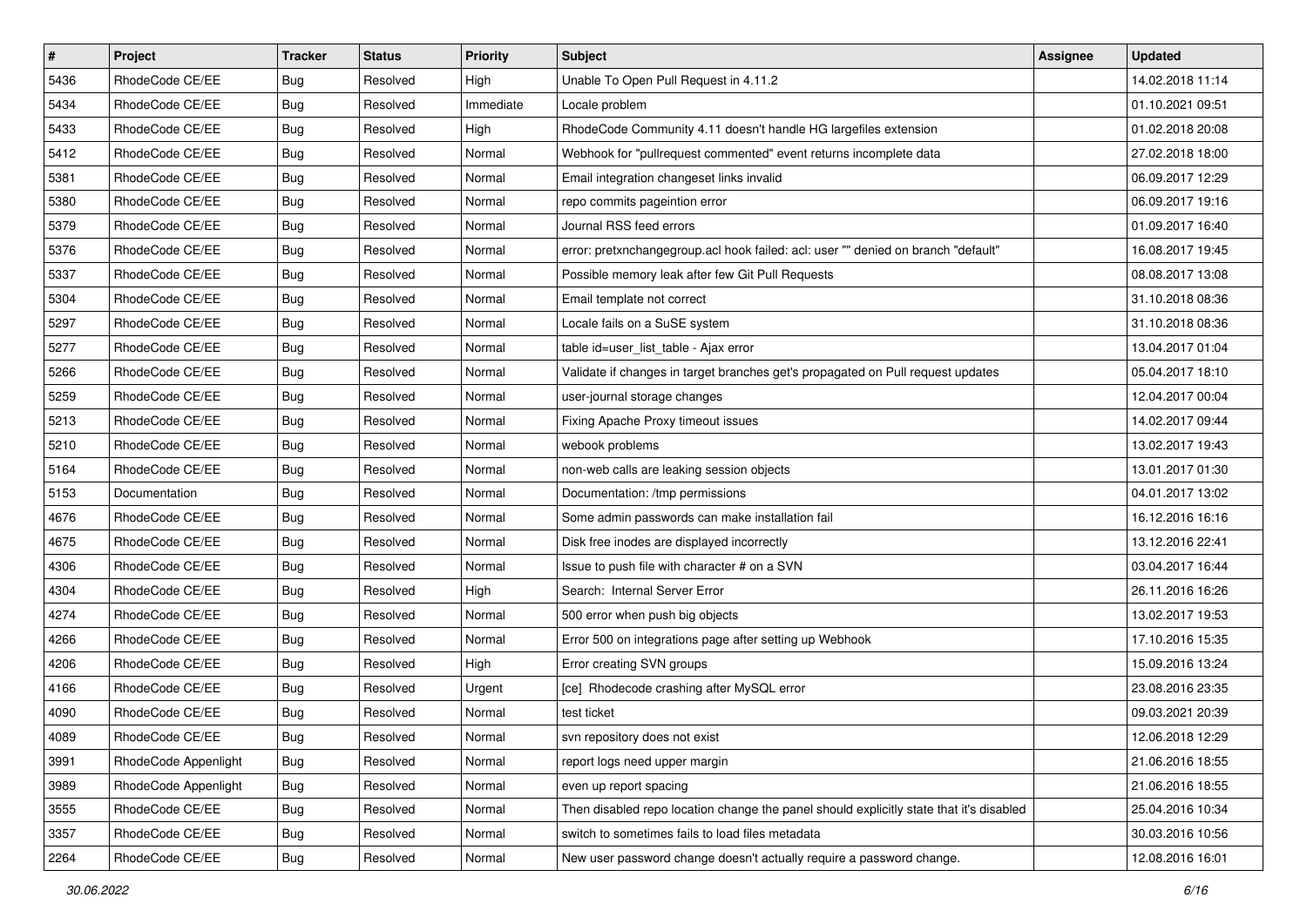| $\sharp$ | Project              | <b>Tracker</b> | <b>Status</b> | <b>Priority</b> | <b>Subject</b>                                                                          | <b>Assignee</b> | <b>Updated</b>   |
|----------|----------------------|----------------|---------------|-----------------|-----------------------------------------------------------------------------------------|-----------------|------------------|
| 5436     | RhodeCode CE/EE      | Bug            | Resolved      | High            | Unable To Open Pull Request in 4.11.2                                                   |                 | 14.02.2018 11:14 |
| 5434     | RhodeCode CE/EE      | Bug            | Resolved      | Immediate       | Locale problem                                                                          |                 | 01.10.2021 09:51 |
| 5433     | RhodeCode CE/EE      | Bug            | Resolved      | High            | RhodeCode Community 4.11 doesn't handle HG largefiles extension                         |                 | 01.02.2018 20:08 |
| 5412     | RhodeCode CE/EE      | <b>Bug</b>     | Resolved      | Normal          | Webhook for "pullrequest commented" event returns incomplete data                       |                 | 27.02.2018 18:00 |
| 5381     | RhodeCode CE/EE      | Bug            | Resolved      | Normal          | Email integration changeset links invalid                                               |                 | 06.09.2017 12:29 |
| 5380     | RhodeCode CE/EE      | Bug            | Resolved      | Normal          | repo commits pageintion error                                                           |                 | 06.09.2017 19:16 |
| 5379     | RhodeCode CE/EE      | <b>Bug</b>     | Resolved      | Normal          | Journal RSS feed errors                                                                 |                 | 01.09.2017 16:40 |
| 5376     | RhodeCode CE/EE      | <b>Bug</b>     | Resolved      | Normal          | error: pretxnchangegroup.acl hook failed: acl: user "" denied on branch "default"       |                 | 16.08.2017 19:45 |
| 5337     | RhodeCode CE/EE      | Bug            | Resolved      | Normal          | Possible memory leak after few Git Pull Requests                                        |                 | 08.08.2017 13:08 |
| 5304     | RhodeCode CE/EE      | Bug            | Resolved      | Normal          | Email template not correct                                                              |                 | 31.10.2018 08:36 |
| 5297     | RhodeCode CE/EE      | Bug            | Resolved      | Normal          | Locale fails on a SuSE system                                                           |                 | 31.10.2018 08:36 |
| 5277     | RhodeCode CE/EE      | Bug            | Resolved      | Normal          | table id=user_list_table - Ajax error                                                   |                 | 13.04.2017 01:04 |
| 5266     | RhodeCode CE/EE      | Bug            | Resolved      | Normal          | Validate if changes in target branches get's propagated on Pull request updates         |                 | 05.04.2017 18:10 |
| 5259     | RhodeCode CE/EE      | Bug            | Resolved      | Normal          | user-journal storage changes                                                            |                 | 12.04.2017 00:04 |
| 5213     | RhodeCode CE/EE      | Bug            | Resolved      | Normal          | Fixing Apache Proxy timeout issues                                                      |                 | 14.02.2017 09:44 |
| 5210     | RhodeCode CE/EE      | Bug            | Resolved      | Normal          | webook problems                                                                         |                 | 13.02.2017 19:43 |
| 5164     | RhodeCode CE/EE      | Bug            | Resolved      | Normal          | non-web calls are leaking session objects                                               |                 | 13.01.2017 01:30 |
| 5153     | Documentation        | Bug            | Resolved      | Normal          | Documentation: /tmp permissions                                                         |                 | 04.01.2017 13:02 |
| 4676     | RhodeCode CE/EE      | <b>Bug</b>     | Resolved      | Normal          | Some admin passwords can make installation fail                                         |                 | 16.12.2016 16:16 |
| 4675     | RhodeCode CE/EE      | Bug            | Resolved      | Normal          | Disk free inodes are displayed incorrectly                                              |                 | 13.12.2016 22:41 |
| 4306     | RhodeCode CE/EE      | Bug            | Resolved      | Normal          | Issue to push file with character # on a SVN                                            |                 | 03.04.2017 16:44 |
| 4304     | RhodeCode CE/EE      | <b>Bug</b>     | Resolved      | High            | Search: Internal Server Error                                                           |                 | 26.11.2016 16:26 |
| 4274     | RhodeCode CE/EE      | Bug            | Resolved      | Normal          | 500 error when push big objects                                                         |                 | 13.02.2017 19:53 |
| 4266     | RhodeCode CE/EE      | Bug            | Resolved      | Normal          | Error 500 on integrations page after setting up Webhook                                 |                 | 17.10.2016 15:35 |
| 4206     | RhodeCode CE/EE      | Bug            | Resolved      | High            | Error creating SVN groups                                                               |                 | 15.09.2016 13:24 |
| 4166     | RhodeCode CE/EE      | Bug            | Resolved      | Urgent          | [ce] Rhodecode crashing after MySQL error                                               |                 | 23.08.2016 23:35 |
| 4090     | RhodeCode CE/EE      | <b>Bug</b>     | Resolved      | Normal          | test ticket                                                                             |                 | 09.03.2021 20:39 |
| 4089     | RhodeCode CE/EE      | <b>Bug</b>     | Resolved      | Normal          | svn repository does not exist                                                           |                 | 12.06.2018 12:29 |
| 3991     | RhodeCode Appenlight | Bug            | Resolved      | Normal          | report logs need upper margin                                                           |                 | 21.06.2016 18:55 |
| 3989     | RhodeCode Appenlight | Bug            | Resolved      | Normal          | even up report spacing                                                                  |                 | 21.06.2016 18:55 |
| 3555     | RhodeCode CE/EE      | Bug            | Resolved      | Normal          | Then disabled repo location change the panel should explicitly state that it's disabled |                 | 25.04.2016 10:34 |
| 3357     | RhodeCode CE/EE      | <b>Bug</b>     | Resolved      | Normal          | switch to sometimes fails to load files metadata                                        |                 | 30.03.2016 10:56 |
| 2264     | RhodeCode CE/EE      | Bug            | Resolved      | Normal          | New user password change doesn't actually require a password change.                    |                 | 12.08.2016 16:01 |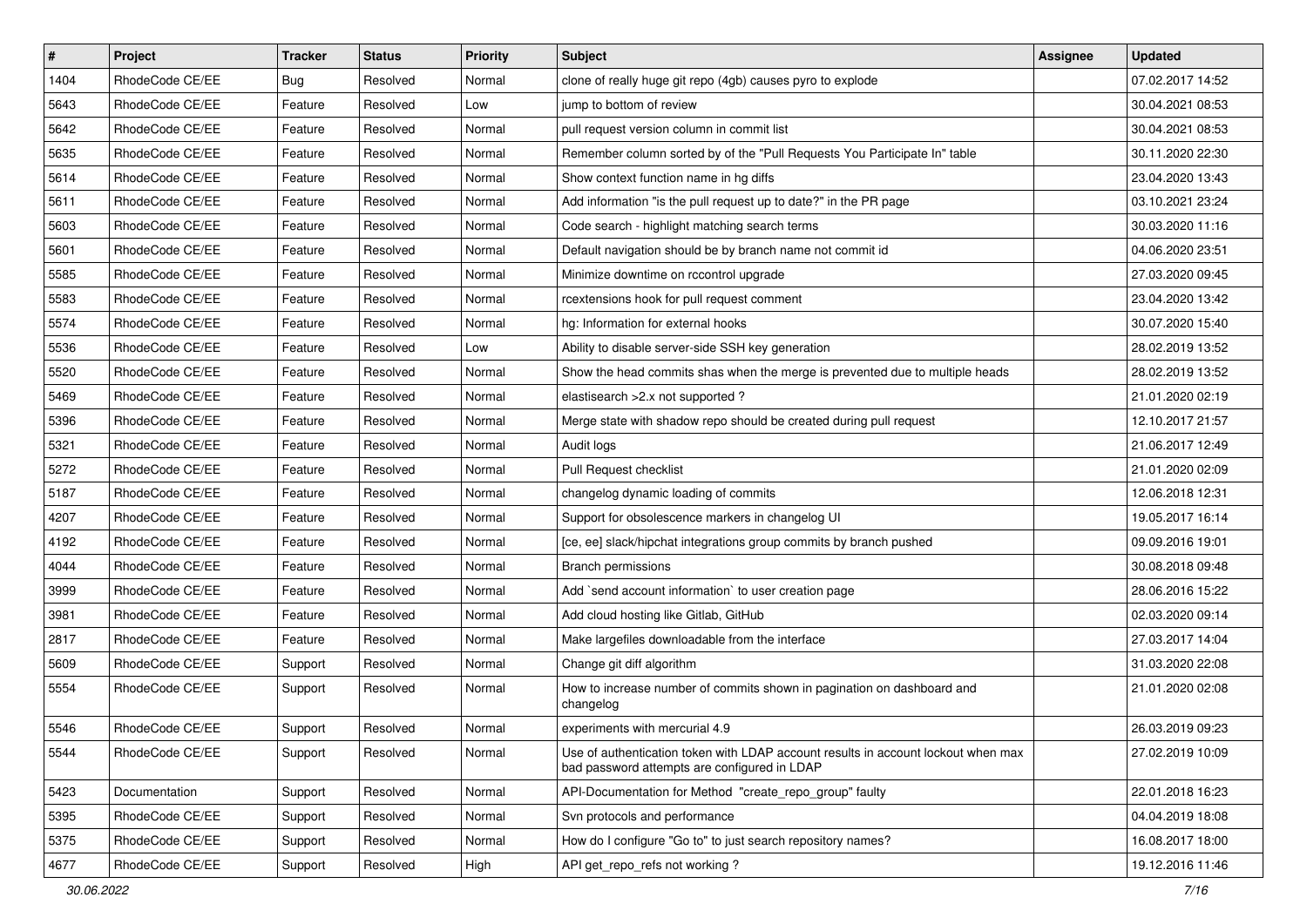| $\vert$ # | Project         | <b>Tracker</b> | <b>Status</b> | <b>Priority</b> | <b>Subject</b>                                                                                                                    | <b>Assignee</b> | <b>Updated</b>   |
|-----------|-----------------|----------------|---------------|-----------------|-----------------------------------------------------------------------------------------------------------------------------------|-----------------|------------------|
| 1404      | RhodeCode CE/EE | <b>Bug</b>     | Resolved      | Normal          | clone of really huge git repo (4gb) causes pyro to explode                                                                        |                 | 07.02.2017 14:52 |
| 5643      | RhodeCode CE/EE | Feature        | Resolved      | Low             | jump to bottom of review                                                                                                          |                 | 30.04.2021 08:53 |
| 5642      | RhodeCode CE/EE | Feature        | Resolved      | Normal          | pull request version column in commit list                                                                                        |                 | 30.04.2021 08:53 |
| 5635      | RhodeCode CE/EE | Feature        | Resolved      | Normal          | Remember column sorted by of the "Pull Requests You Participate In" table                                                         |                 | 30.11.2020 22:30 |
| 5614      | RhodeCode CE/EE | Feature        | Resolved      | Normal          | Show context function name in hg diffs                                                                                            |                 | 23.04.2020 13:43 |
| 5611      | RhodeCode CE/EE | Feature        | Resolved      | Normal          | Add information "is the pull request up to date?" in the PR page                                                                  |                 | 03.10.2021 23:24 |
| 5603      | RhodeCode CE/EE | Feature        | Resolved      | Normal          | Code search - highlight matching search terms                                                                                     |                 | 30.03.2020 11:16 |
| 5601      | RhodeCode CE/EE | Feature        | Resolved      | Normal          | Default navigation should be by branch name not commit id                                                                         |                 | 04.06.2020 23:51 |
| 5585      | RhodeCode CE/EE | Feature        | Resolved      | Normal          | Minimize downtime on rccontrol upgrade                                                                                            |                 | 27.03.2020 09:45 |
| 5583      | RhodeCode CE/EE | Feature        | Resolved      | Normal          | rcextensions hook for pull request comment                                                                                        |                 | 23.04.2020 13:42 |
| 5574      | RhodeCode CE/EE | Feature        | Resolved      | Normal          | hg: Information for external hooks                                                                                                |                 | 30.07.2020 15:40 |
| 5536      | RhodeCode CE/EE | Feature        | Resolved      | Low             | Ability to disable server-side SSH key generation                                                                                 |                 | 28.02.2019 13:52 |
| 5520      | RhodeCode CE/EE | Feature        | Resolved      | Normal          | Show the head commits shas when the merge is prevented due to multiple heads                                                      |                 | 28.02.2019 13:52 |
| 5469      | RhodeCode CE/EE | Feature        | Resolved      | Normal          | elastisearch > 2.x not supported ?                                                                                                |                 | 21.01.2020 02:19 |
| 5396      | RhodeCode CE/EE | Feature        | Resolved      | Normal          | Merge state with shadow repo should be created during pull request                                                                |                 | 12.10.2017 21:57 |
| 5321      | RhodeCode CE/EE | Feature        | Resolved      | Normal          | Audit logs                                                                                                                        |                 | 21.06.2017 12:49 |
| 5272      | RhodeCode CE/EE | Feature        | Resolved      | Normal          | Pull Request checklist                                                                                                            |                 | 21.01.2020 02:09 |
| 5187      | RhodeCode CE/EE | Feature        | Resolved      | Normal          | changelog dynamic loading of commits                                                                                              |                 | 12.06.2018 12:31 |
| 4207      | RhodeCode CE/EE | Feature        | Resolved      | Normal          | Support for obsolescence markers in changelog UI                                                                                  |                 | 19.05.2017 16:14 |
| 4192      | RhodeCode CE/EE | Feature        | Resolved      | Normal          | [ce, ee] slack/hipchat integrations group commits by branch pushed                                                                |                 | 09.09.2016 19:01 |
| 4044      | RhodeCode CE/EE | Feature        | Resolved      | Normal          | <b>Branch permissions</b>                                                                                                         |                 | 30.08.2018 09:48 |
| 3999      | RhodeCode CE/EE | Feature        | Resolved      | Normal          | Add `send account information` to user creation page                                                                              |                 | 28.06.2016 15:22 |
| 3981      | RhodeCode CE/EE | Feature        | Resolved      | Normal          | Add cloud hosting like Gitlab, GitHub                                                                                             |                 | 02.03.2020 09:14 |
| 2817      | RhodeCode CE/EE | Feature        | Resolved      | Normal          | Make largefiles downloadable from the interface                                                                                   |                 | 27.03.2017 14:04 |
| 5609      | RhodeCode CE/EE | Support        | Resolved      | Normal          | Change git diff algorithm                                                                                                         |                 | 31.03.2020 22:08 |
| 5554      | RhodeCode CE/EE | Support        | Resolved      | Normal          | How to increase number of commits shown in pagination on dashboard and<br>changelog                                               |                 | 21.01.2020 02:08 |
| 5546      | RhodeCode CE/EE | Support        | Resolved      | Normal          | experiments with mercurial 4.9                                                                                                    |                 | 26.03.2019 09:23 |
| 5544      | RhodeCode CE/EE | Support        | Resolved      | Normal          | Use of authentication token with LDAP account results in account lockout when max<br>bad password attempts are configured in LDAP |                 | 27.02.2019 10:09 |
| 5423      | Documentation   | Support        | Resolved      | Normal          | API-Documentation for Method "create_repo_group" faulty                                                                           |                 | 22.01.2018 16:23 |
| 5395      | RhodeCode CE/EE | Support        | Resolved      | Normal          | Svn protocols and performance                                                                                                     |                 | 04.04.2019 18:08 |
| 5375      | RhodeCode CE/EE | Support        | Resolved      | Normal          | How do I configure "Go to" to just search repository names?                                                                       |                 | 16.08.2017 18:00 |
| 4677      | RhodeCode CE/EE | Support        | Resolved      | High            | API get_repo_refs not working?                                                                                                    |                 | 19.12.2016 11:46 |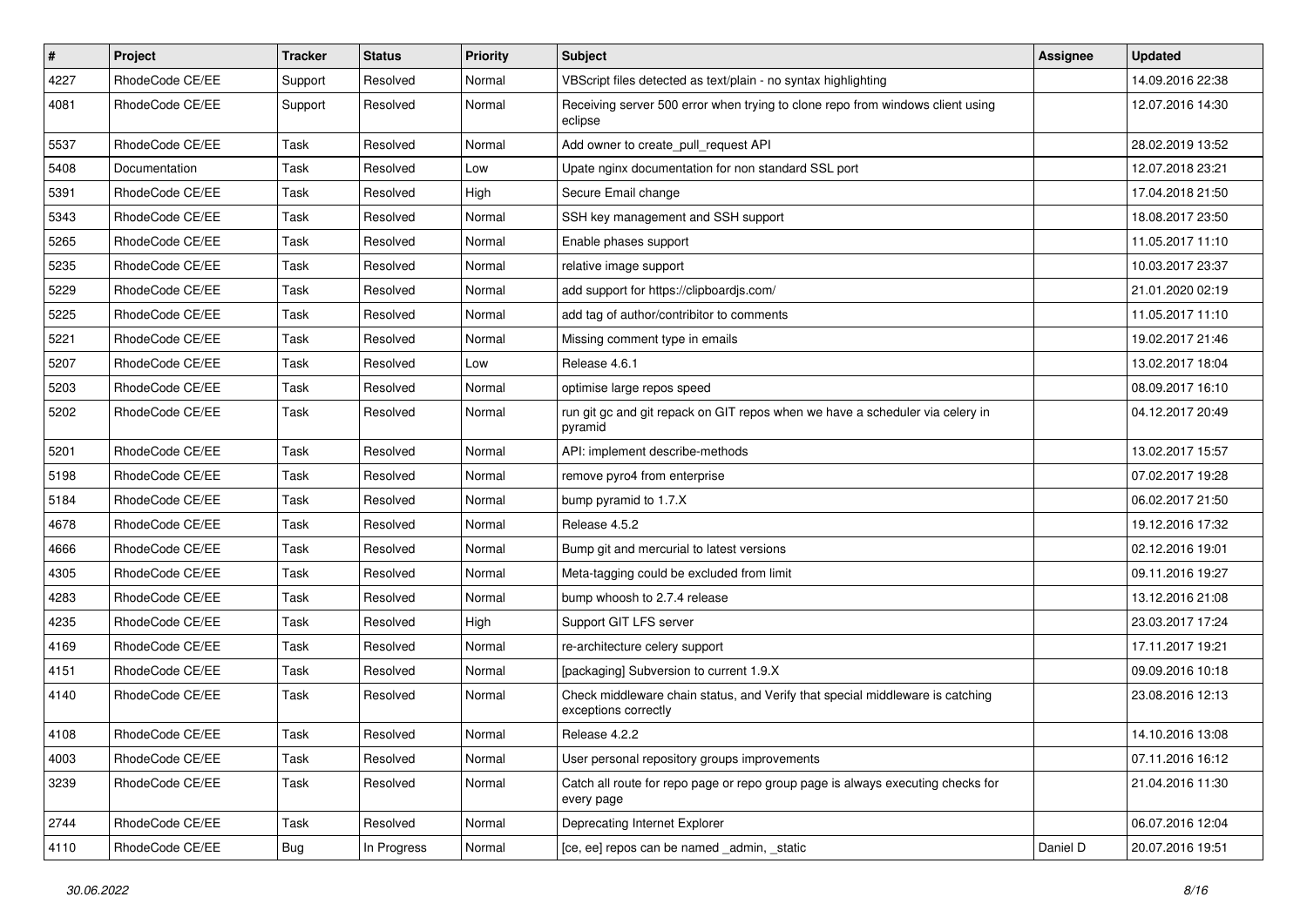| $\vert$ # | Project         | Tracker    | <b>Status</b> | <b>Priority</b> | Subject                                                                                               | Assignee | <b>Updated</b>   |
|-----------|-----------------|------------|---------------|-----------------|-------------------------------------------------------------------------------------------------------|----------|------------------|
| 4227      | RhodeCode CE/EE | Support    | Resolved      | Normal          | VBScript files detected as text/plain - no syntax highlighting                                        |          | 14.09.2016 22:38 |
| 4081      | RhodeCode CE/EE | Support    | Resolved      | Normal          | Receiving server 500 error when trying to clone repo from windows client using<br>eclipse             |          | 12.07.2016 14:30 |
| 5537      | RhodeCode CE/EE | Task       | Resolved      | Normal          | Add owner to create_pull_request API                                                                  |          | 28.02.2019 13:52 |
| 5408      | Documentation   | Task       | Resolved      | Low             | Upate nginx documentation for non standard SSL port                                                   |          | 12.07.2018 23:21 |
| 5391      | RhodeCode CE/EE | Task       | Resolved      | High            | Secure Email change                                                                                   |          | 17.04.2018 21:50 |
| 5343      | RhodeCode CE/EE | Task       | Resolved      | Normal          | SSH key management and SSH support                                                                    |          | 18.08.2017 23:50 |
| 5265      | RhodeCode CE/EE | Task       | Resolved      | Normal          | Enable phases support                                                                                 |          | 11.05.2017 11:10 |
| 5235      | RhodeCode CE/EE | Task       | Resolved      | Normal          | relative image support                                                                                |          | 10.03.2017 23:37 |
| 5229      | RhodeCode CE/EE | Task       | Resolved      | Normal          | add support for https://clipboardjs.com/                                                              |          | 21.01.2020 02:19 |
| 5225      | RhodeCode CE/EE | Task       | Resolved      | Normal          | add tag of author/contribitor to comments                                                             |          | 11.05.2017 11:10 |
| 5221      | RhodeCode CE/EE | Task       | Resolved      | Normal          | Missing comment type in emails                                                                        |          | 19.02.2017 21:46 |
| 5207      | RhodeCode CE/EE | Task       | Resolved      | Low             | Release 4.6.1                                                                                         |          | 13.02.2017 18:04 |
| 5203      | RhodeCode CE/EE | Task       | Resolved      | Normal          | optimise large repos speed                                                                            |          | 08.09.2017 16:10 |
| 5202      | RhodeCode CE/EE | Task       | Resolved      | Normal          | run git gc and git repack on GIT repos when we have a scheduler via celery in<br>pyramid              |          | 04.12.2017 20:49 |
| 5201      | RhodeCode CE/EE | Task       | Resolved      | Normal          | API: implement describe-methods                                                                       |          | 13.02.2017 15:57 |
| 5198      | RhodeCode CE/EE | Task       | Resolved      | Normal          | remove pyro4 from enterprise                                                                          |          | 07.02.2017 19:28 |
| 5184      | RhodeCode CE/EE | Task       | Resolved      | Normal          | bump pyramid to 1.7.X                                                                                 |          | 06.02.2017 21:50 |
| 4678      | RhodeCode CE/EE | Task       | Resolved      | Normal          | Release 4.5.2                                                                                         |          | 19.12.2016 17:32 |
| 4666      | RhodeCode CE/EE | Task       | Resolved      | Normal          | Bump git and mercurial to latest versions                                                             |          | 02.12.2016 19:01 |
| 4305      | RhodeCode CE/EE | Task       | Resolved      | Normal          | Meta-tagging could be excluded from limit                                                             |          | 09.11.2016 19:27 |
| 4283      | RhodeCode CE/EE | Task       | Resolved      | Normal          | bump whoosh to 2.7.4 release                                                                          |          | 13.12.2016 21:08 |
| 4235      | RhodeCode CE/EE | Task       | Resolved      | High            | Support GIT LFS server                                                                                |          | 23.03.2017 17:24 |
| 4169      | RhodeCode CE/EE | Task       | Resolved      | Normal          | re-architecture celery support                                                                        |          | 17.11.2017 19:21 |
| 4151      | RhodeCode CE/EE | Task       | Resolved      | Normal          | [packaging] Subversion to current 1.9.X                                                               |          | 09.09.2016 10:18 |
| 4140      | RhodeCode CE/EE | Task       | Resolved      | Normal          | Check middleware chain status, and Verify that special middleware is catching<br>exceptions correctly |          | 23.08.2016 12:13 |
| 4108      | RhodeCode CE/EE | Task       | Resolved      | Normal          | Release 4.2.2                                                                                         |          | 14.10.2016 13:08 |
| 4003      | RhodeCode CE/EE | Task       | Resolved      | Normal          | User personal repository groups improvements                                                          |          | 07.11.2016 16:12 |
| 3239      | RhodeCode CE/EE | Task       | Resolved      | Normal          | Catch all route for repo page or repo group page is always executing checks for<br>every page         |          | 21.04.2016 11:30 |
| 2744      | RhodeCode CE/EE | Task       | Resolved      | Normal          | Deprecating Internet Explorer                                                                         |          | 06.07.2016 12:04 |
| 4110      | RhodeCode CE/EE | <b>Bug</b> | In Progress   | Normal          | [ce, ee] repos can be named _admin, _static                                                           | Daniel D | 20.07.2016 19:51 |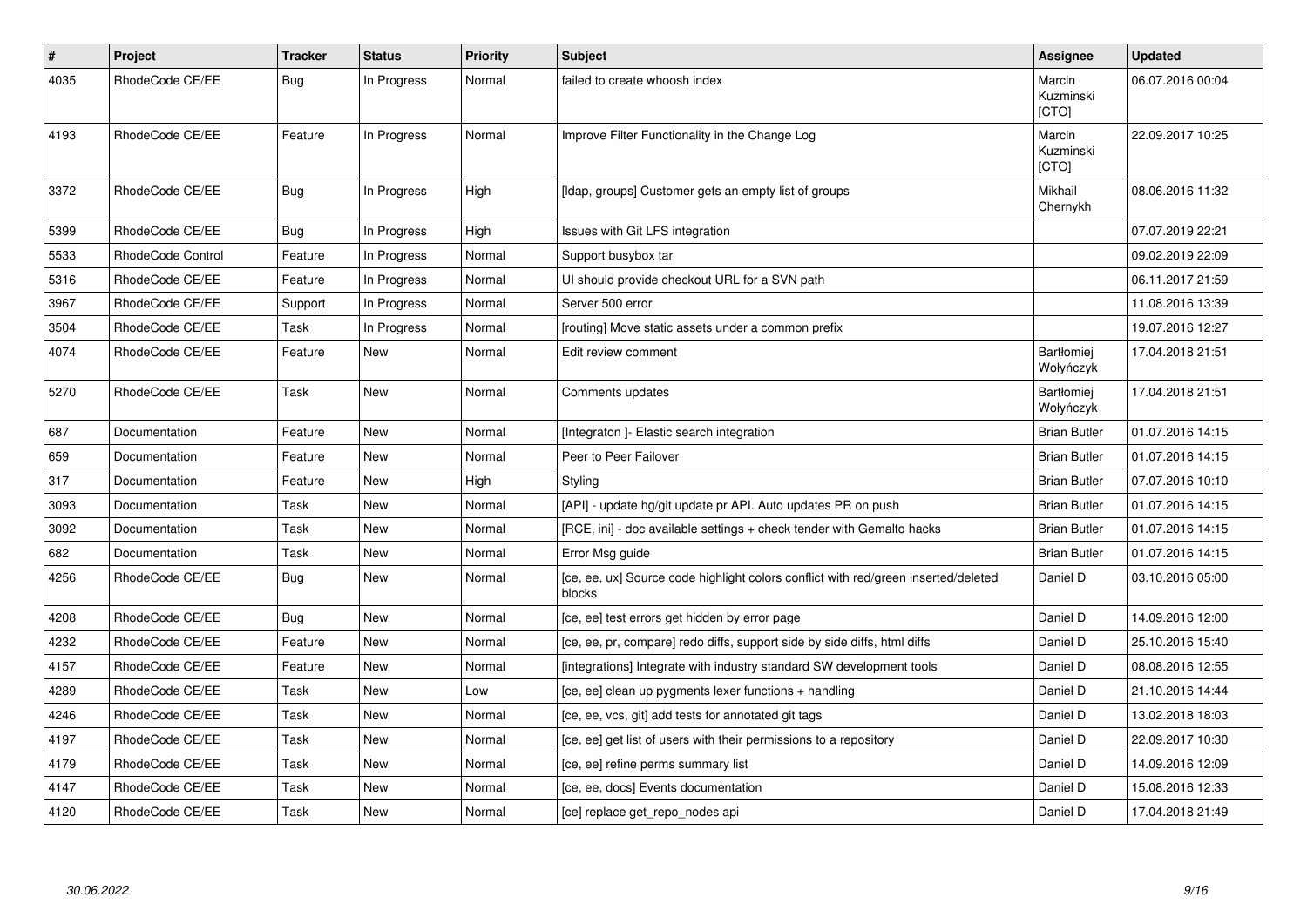| $\pmb{\#}$ | Project           | <b>Tracker</b> | <b>Status</b> | <b>Priority</b> | <b>Subject</b>                                                                               | Assignee                       | <b>Updated</b>   |
|------------|-------------------|----------------|---------------|-----------------|----------------------------------------------------------------------------------------------|--------------------------------|------------------|
| 4035       | RhodeCode CE/EE   | Bug            | In Progress   | Normal          | failed to create whoosh index                                                                | Marcin<br>Kuzminski<br>[CTO]   | 06.07.2016 00:04 |
| 4193       | RhodeCode CE/EE   | Feature        | In Progress   | Normal          | Improve Filter Functionality in the Change Log                                               | Marcin<br>Kuzminski<br>[CTO]   | 22.09.2017 10:25 |
| 3372       | RhodeCode CE/EE   | Bug            | In Progress   | High            | [Idap, groups] Customer gets an empty list of groups                                         | Mikhail<br>Chernykh            | 08.06.2016 11:32 |
| 5399       | RhodeCode CE/EE   | Bug            | In Progress   | High            | Issues with Git LFS integration                                                              |                                | 07.07.2019 22:21 |
| 5533       | RhodeCode Control | Feature        | In Progress   | Normal          | Support busybox tar                                                                          |                                | 09.02.2019 22:09 |
| 5316       | RhodeCode CE/EE   | Feature        | In Progress   | Normal          | UI should provide checkout URL for a SVN path                                                |                                | 06.11.2017 21:59 |
| 3967       | RhodeCode CE/EE   | Support        | In Progress   | Normal          | Server 500 error                                                                             |                                | 11.08.2016 13:39 |
| 3504       | RhodeCode CE/EE   | Task           | In Progress   | Normal          | [routing] Move static assets under a common prefix                                           |                                | 19.07.2016 12:27 |
| 4074       | RhodeCode CE/EE   | Feature        | <b>New</b>    | Normal          | Edit review comment                                                                          | <b>Bartłomiej</b><br>Wołyńczyk | 17.04.2018 21:51 |
| 5270       | RhodeCode CE/EE   | Task           | New           | Normal          | Comments updates                                                                             | <b>Bartłomiej</b><br>Wołyńczyk | 17.04.2018 21:51 |
| 687        | Documentation     | Feature        | <b>New</b>    | Normal          | [Integraton] - Elastic search integration                                                    | <b>Brian Butler</b>            | 01.07.2016 14:15 |
| 659        | Documentation     | Feature        | <b>New</b>    | Normal          | Peer to Peer Failover                                                                        | <b>Brian Butler</b>            | 01.07.2016 14:15 |
| 317        | Documentation     | Feature        | <b>New</b>    | High            | Styling                                                                                      | <b>Brian Butler</b>            | 07.07.2016 10:10 |
| 3093       | Documentation     | Task           | New           | Normal          | [API] - update hg/git update pr API. Auto updates PR on push                                 | <b>Brian Butler</b>            | 01.07.2016 14:15 |
| 3092       | Documentation     | Task           | New           | Normal          | [RCE, ini] - doc available settings + check tender with Gemalto hacks                        | <b>Brian Butler</b>            | 01.07.2016 14:15 |
| 682        | Documentation     | Task           | <b>New</b>    | Normal          | Error Msg guide                                                                              | <b>Brian Butler</b>            | 01.07.2016 14:15 |
| 4256       | RhodeCode CE/EE   | <b>Bug</b>     | New           | Normal          | [ce, ee, ux] Source code highlight colors conflict with red/green inserted/deleted<br>blocks | Daniel D                       | 03.10.2016 05:00 |
| 4208       | RhodeCode CE/EE   | Bug            | <b>New</b>    | Normal          | [ce, ee] test errors get hidden by error page                                                | Daniel D                       | 14.09.2016 12:00 |
| 4232       | RhodeCode CE/EE   | Feature        | <b>New</b>    | Normal          | [ce, ee, pr, compare] redo diffs, support side by side diffs, html diffs                     | Daniel D                       | 25.10.2016 15:40 |
| 4157       | RhodeCode CE/EE   | Feature        | <b>New</b>    | Normal          | [integrations] Integrate with industry standard SW development tools                         | Daniel D                       | 08.08.2016 12:55 |
| 4289       | RhodeCode CE/EE   | Task           | <b>New</b>    | Low             | [ce, ee] clean up pygments lexer functions + handling                                        | Daniel D                       | 21.10.2016 14:44 |
| 4246       | RhodeCode CE/EE   | Task           | New           | Normal          | [ce, ee, vcs, git] add tests for annotated git tags                                          | Daniel D                       | 13.02.2018 18:03 |
| 4197       | RhodeCode CE/EE   | Task           | New           | Normal          | [ce, ee] get list of users with their permissions to a repository                            | Daniel D                       | 22.09.2017 10:30 |
| 4179       | RhodeCode CE/EE   | Task           | <b>New</b>    | Normal          | [ce, ee] refine perms summary list                                                           | Daniel D                       | 14.09.2016 12:09 |
| 4147       | RhodeCode CE/EE   | Task           | New           | Normal          | [ce, ee, docs] Events documentation                                                          | Daniel D                       | 15.08.2016 12:33 |
| 4120       | RhodeCode CE/EE   | Task           | New           | Normal          | [ce] replace get_repo_nodes api                                                              | Daniel D                       | 17.04.2018 21:49 |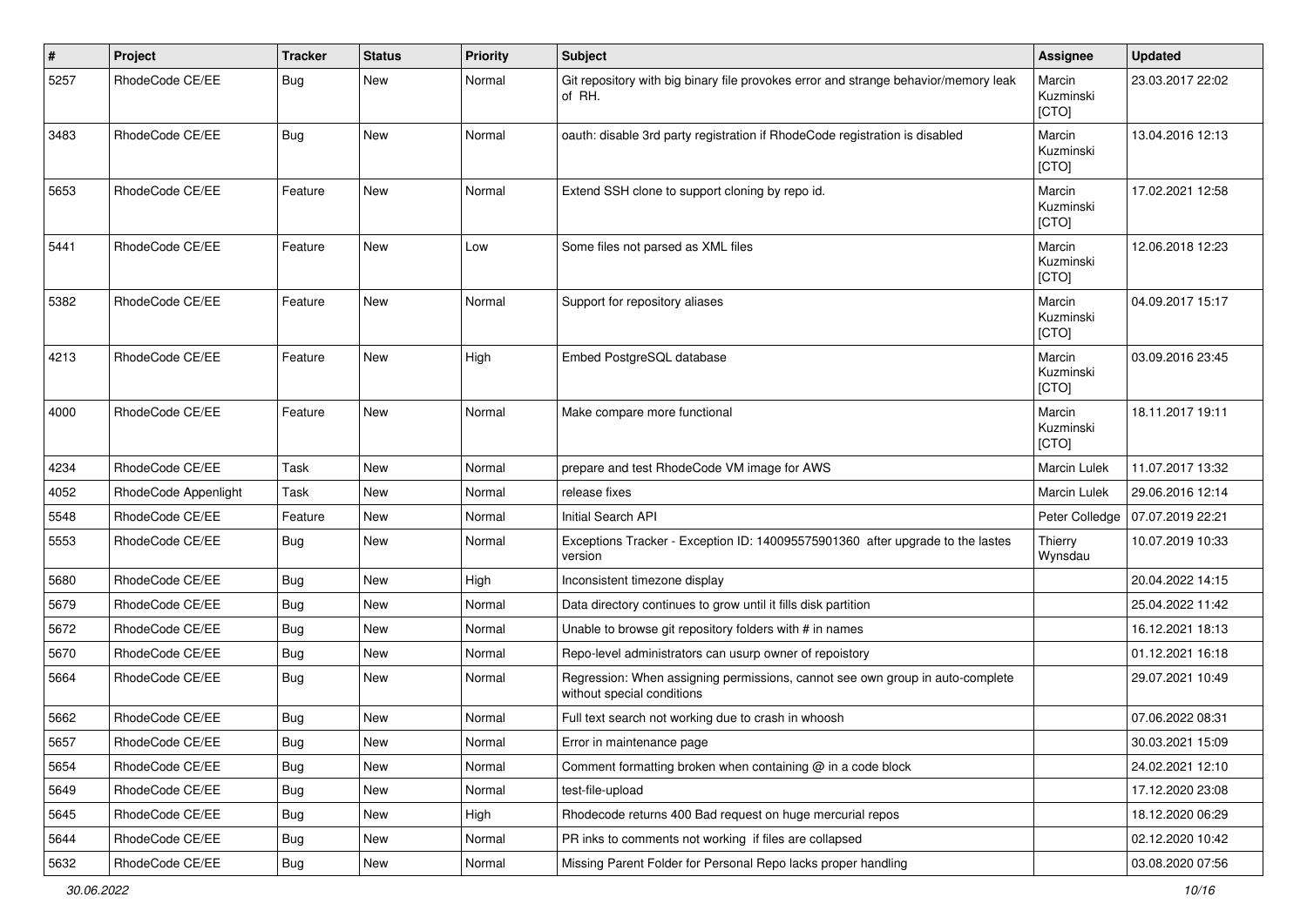| #    | Project              | <b>Tracker</b> | <b>Status</b> | <b>Priority</b> | <b>Subject</b>                                                                                              | <b>Assignee</b>              | <b>Updated</b>   |
|------|----------------------|----------------|---------------|-----------------|-------------------------------------------------------------------------------------------------------------|------------------------------|------------------|
| 5257 | RhodeCode CE/EE      | Bug            | New           | Normal          | Git repository with big binary file provokes error and strange behavior/memory leak<br>of RH.               | Marcin<br>Kuzminski<br>[CTO] | 23.03.2017 22:02 |
| 3483 | RhodeCode CE/EE      | Bug            | <b>New</b>    | Normal          | oauth: disable 3rd party registration if RhodeCode registration is disabled                                 | Marcin<br>Kuzminski<br>[CTO] | 13.04.2016 12:13 |
| 5653 | RhodeCode CE/EE      | Feature        | New           | Normal          | Extend SSH clone to support cloning by repo id.                                                             | Marcin<br>Kuzminski<br>[CTO] | 17.02.2021 12:58 |
| 5441 | RhodeCode CE/EE      | Feature        | New           | Low             | Some files not parsed as XML files                                                                          | Marcin<br>Kuzminski<br>[CTO] | 12.06.2018 12:23 |
| 5382 | RhodeCode CE/EE      | Feature        | New           | Normal          | Support for repository aliases                                                                              | Marcin<br>Kuzminski<br>[CTO] | 04.09.2017 15:17 |
| 4213 | RhodeCode CE/EE      | Feature        | New           | High            | Embed PostgreSQL database                                                                                   | Marcin<br>Kuzminski<br>[CTO] | 03.09.2016 23:45 |
| 4000 | RhodeCode CE/EE      | Feature        | <b>New</b>    | Normal          | Make compare more functional                                                                                | Marcin<br>Kuzminski<br>[CTO] | 18.11.2017 19:11 |
| 4234 | RhodeCode CE/EE      | Task           | New           | Normal          | prepare and test RhodeCode VM image for AWS                                                                 | <b>Marcin Lulek</b>          | 11.07.2017 13:32 |
| 4052 | RhodeCode Appenlight | Task           | New           | Normal          | release fixes                                                                                               | <b>Marcin Lulek</b>          | 29.06.2016 12:14 |
| 5548 | RhodeCode CE/EE      | Feature        | New           | Normal          | Initial Search API                                                                                          | Peter Colledge               | 07.07.2019 22:21 |
| 5553 | RhodeCode CE/EE      | Bug            | New           | Normal          | Exceptions Tracker - Exception ID: 140095575901360 after upgrade to the lastes<br>version                   | Thierry<br>Wynsdau           | 10.07.2019 10:33 |
| 5680 | RhodeCode CE/EE      | Bug            | New           | High            | Inconsistent timezone display                                                                               |                              | 20.04.2022 14:15 |
| 5679 | RhodeCode CE/EE      | Bug            | New           | Normal          | Data directory continues to grow until it fills disk partition                                              |                              | 25.04.2022 11:42 |
| 5672 | RhodeCode CE/EE      | Bug            | New           | Normal          | Unable to browse git repository folders with # in names                                                     |                              | 16.12.2021 18:13 |
| 5670 | RhodeCode CE/EE      | Bug            | <b>New</b>    | Normal          | Repo-level administrators can usurp owner of repoistory                                                     |                              | 01.12.2021 16:18 |
| 5664 | RhodeCode CE/EE      | Bug            | New           | Normal          | Regression: When assigning permissions, cannot see own group in auto-complete<br>without special conditions |                              | 29.07.2021 10:49 |
| 5662 | RhodeCode CE/EE      | Bug            | <b>New</b>    | Normal          | Full text search not working due to crash in whoosh                                                         |                              | 07.06.2022 08:31 |
| 5657 | RhodeCode CE/EE      | Bug            | New           | Normal          | Error in maintenance page                                                                                   |                              | 30.03.2021 15:09 |
| 5654 | RhodeCode CE/EE      | Bug            | New           | Normal          | Comment formatting broken when containing @ in a code block                                                 |                              | 24.02.2021 12:10 |
| 5649 | RhodeCode CE/EE      | Bug            | New           | Normal          | test-file-upload                                                                                            |                              | 17.12.2020 23:08 |
| 5645 | RhodeCode CE/EE      | Bug            | New           | High            | Rhodecode returns 400 Bad request on huge mercurial repos                                                   |                              | 18.12.2020 06:29 |
| 5644 | RhodeCode CE/EE      | Bug            | New           | Normal          | PR inks to comments not working if files are collapsed                                                      |                              | 02.12.2020 10:42 |
| 5632 | RhodeCode CE/EE      | Bug            | New           | Normal          | Missing Parent Folder for Personal Repo lacks proper handling                                               |                              | 03.08.2020 07:56 |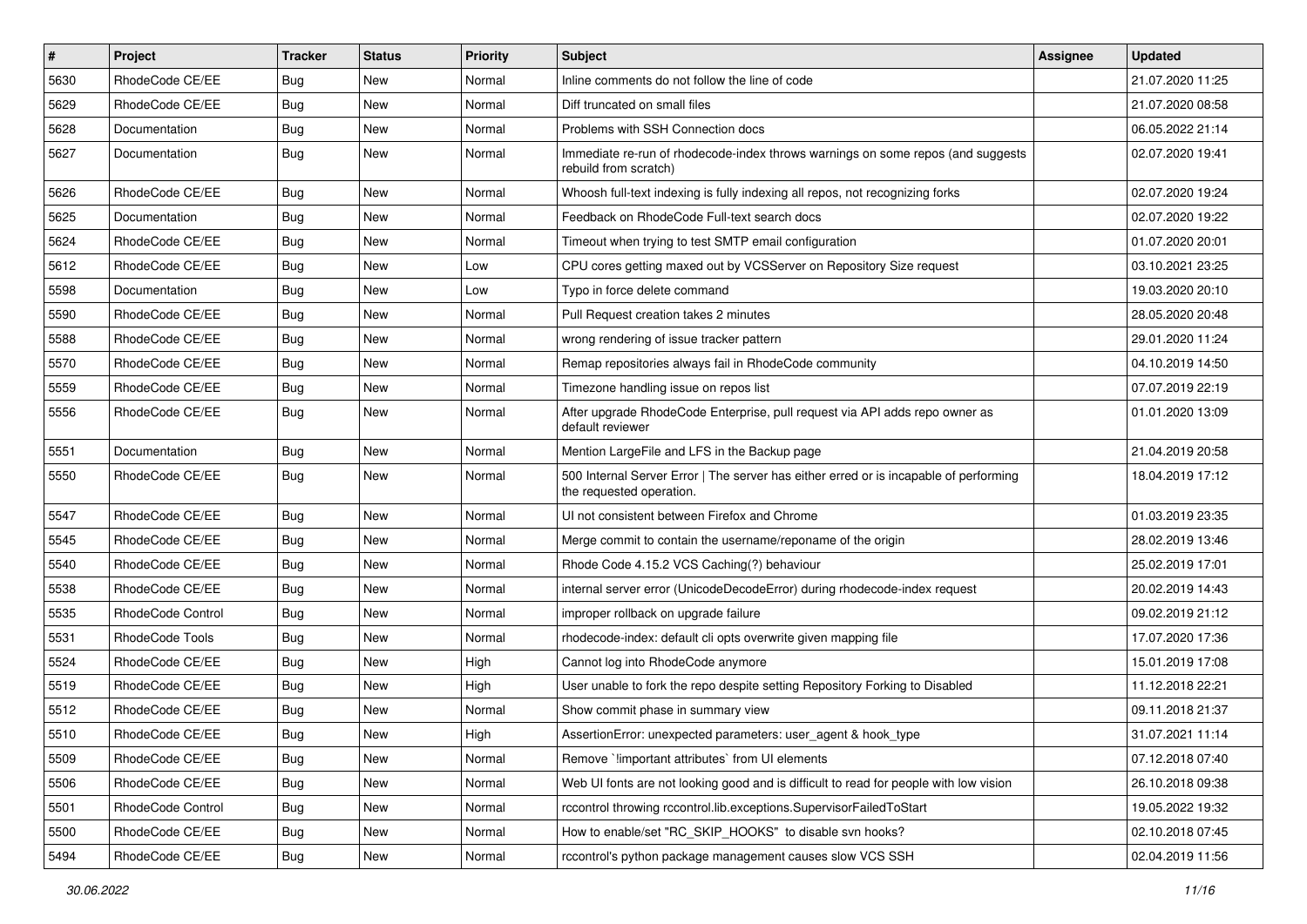| $\#$ | Project           | <b>Tracker</b> | <b>Status</b> | <b>Priority</b> | <b>Subject</b>                                                                                                    | <b>Assignee</b> | <b>Updated</b>   |
|------|-------------------|----------------|---------------|-----------------|-------------------------------------------------------------------------------------------------------------------|-----------------|------------------|
| 5630 | RhodeCode CE/EE   | Bug            | New           | Normal          | Inline comments do not follow the line of code                                                                    |                 | 21.07.2020 11:25 |
| 5629 | RhodeCode CE/EE   | Bug            | New           | Normal          | Diff truncated on small files                                                                                     |                 | 21.07.2020 08:58 |
| 5628 | Documentation     | Bug            | New           | Normal          | Problems with SSH Connection docs                                                                                 |                 | 06.05.2022 21:14 |
| 5627 | Documentation     | Bug            | New           | Normal          | Immediate re-run of rhodecode-index throws warnings on some repos (and suggests<br>rebuild from scratch)          |                 | 02.07.2020 19:41 |
| 5626 | RhodeCode CE/EE   | Bug            | New           | Normal          | Whoosh full-text indexing is fully indexing all repos, not recognizing forks                                      |                 | 02.07.2020 19:24 |
| 5625 | Documentation     | Bug            | New           | Normal          | Feedback on RhodeCode Full-text search docs                                                                       |                 | 02.07.2020 19:22 |
| 5624 | RhodeCode CE/EE   | Bug            | New           | Normal          | Timeout when trying to test SMTP email configuration                                                              |                 | 01.07.2020 20:01 |
| 5612 | RhodeCode CE/EE   | <b>Bug</b>     | New           | Low             | CPU cores getting maxed out by VCSServer on Repository Size request                                               |                 | 03.10.2021 23:25 |
| 5598 | Documentation     | <b>Bug</b>     | New           | Low             | Typo in force delete command                                                                                      |                 | 19.03.2020 20:10 |
| 5590 | RhodeCode CE/EE   | Bug            | New           | Normal          | Pull Request creation takes 2 minutes                                                                             |                 | 28.05.2020 20:48 |
| 5588 | RhodeCode CE/EE   | Bug            | New           | Normal          | wrong rendering of issue tracker pattern                                                                          |                 | 29.01.2020 11:24 |
| 5570 | RhodeCode CE/EE   | Bug            | New           | Normal          | Remap repositories always fail in RhodeCode community                                                             |                 | 04.10.2019 14:50 |
| 5559 | RhodeCode CE/EE   | Bug            | New           | Normal          | Timezone handling issue on repos list                                                                             |                 | 07.07.2019 22:19 |
| 5556 | RhodeCode CE/EE   | Bug            | <b>New</b>    | Normal          | After upgrade RhodeCode Enterprise, pull request via API adds repo owner as<br>default reviewer                   |                 | 01.01.2020 13:09 |
| 5551 | Documentation     | Bug            | New           | Normal          | Mention LargeFile and LFS in the Backup page                                                                      |                 | 21.04.2019 20:58 |
| 5550 | RhodeCode CE/EE   | Bug            | New           | Normal          | 500 Internal Server Error   The server has either erred or is incapable of performing<br>the requested operation. |                 | 18.04.2019 17:12 |
| 5547 | RhodeCode CE/EE   | Bug            | New           | Normal          | UI not consistent between Firefox and Chrome                                                                      |                 | 01.03.2019 23:35 |
| 5545 | RhodeCode CE/EE   | Bug            | New           | Normal          | Merge commit to contain the username/reponame of the origin                                                       |                 | 28.02.2019 13:46 |
| 5540 | RhodeCode CE/EE   | <b>Bug</b>     | New           | Normal          | Rhode Code 4.15.2 VCS Caching(?) behaviour                                                                        |                 | 25.02.2019 17:01 |
| 5538 | RhodeCode CE/EE   | Bug            | <b>New</b>    | Normal          | internal server error (UnicodeDecodeError) during rhodecode-index request                                         |                 | 20.02.2019 14:43 |
| 5535 | RhodeCode Control | Bug            | New           | Normal          | improper rollback on upgrade failure                                                                              |                 | 09.02.2019 21:12 |
| 5531 | RhodeCode Tools   | Bug            | New           | Normal          | rhodecode-index: default cli opts overwrite given mapping file                                                    |                 | 17.07.2020 17:36 |
| 5524 | RhodeCode CE/EE   | <b>Bug</b>     | New           | High            | Cannot log into RhodeCode anymore                                                                                 |                 | 15.01.2019 17:08 |
| 5519 | RhodeCode CE/EE   | Bug            | New           | High            | User unable to fork the repo despite setting Repository Forking to Disabled                                       |                 | 11.12.2018 22:21 |
| 5512 | RhodeCode CE/EE   | Bug            | New           | Normal          | Show commit phase in summary view                                                                                 |                 | 09.11.2018 21:37 |
| 5510 | RhodeCode CE/EE   | Bug            | New           | High            | AssertionError: unexpected parameters: user_agent & hook_type                                                     |                 | 31.07.2021 11:14 |
| 5509 | RhodeCode CE/EE   | Bug            | New           | Normal          | Remove `!important attributes` from UI elements                                                                   |                 | 07.12.2018 07:40 |
| 5506 | RhodeCode CE/EE   | Bug            | New           | Normal          | Web UI fonts are not looking good and is difficult to read for people with low vision                             |                 | 26.10.2018 09:38 |
| 5501 | RhodeCode Control | Bug            | New           | Normal          | rccontrol throwing rccontrol.lib.exceptions.SupervisorFailedToStart                                               |                 | 19.05.2022 19:32 |
| 5500 | RhodeCode CE/EE   | Bug            | New           | Normal          | How to enable/set "RC_SKIP_HOOKS" to disable svn hooks?                                                           |                 | 02.10.2018 07:45 |
| 5494 | RhodeCode CE/EE   | <b>Bug</b>     | New           | Normal          | rccontrol's python package management causes slow VCS SSH                                                         |                 | 02.04.2019 11:56 |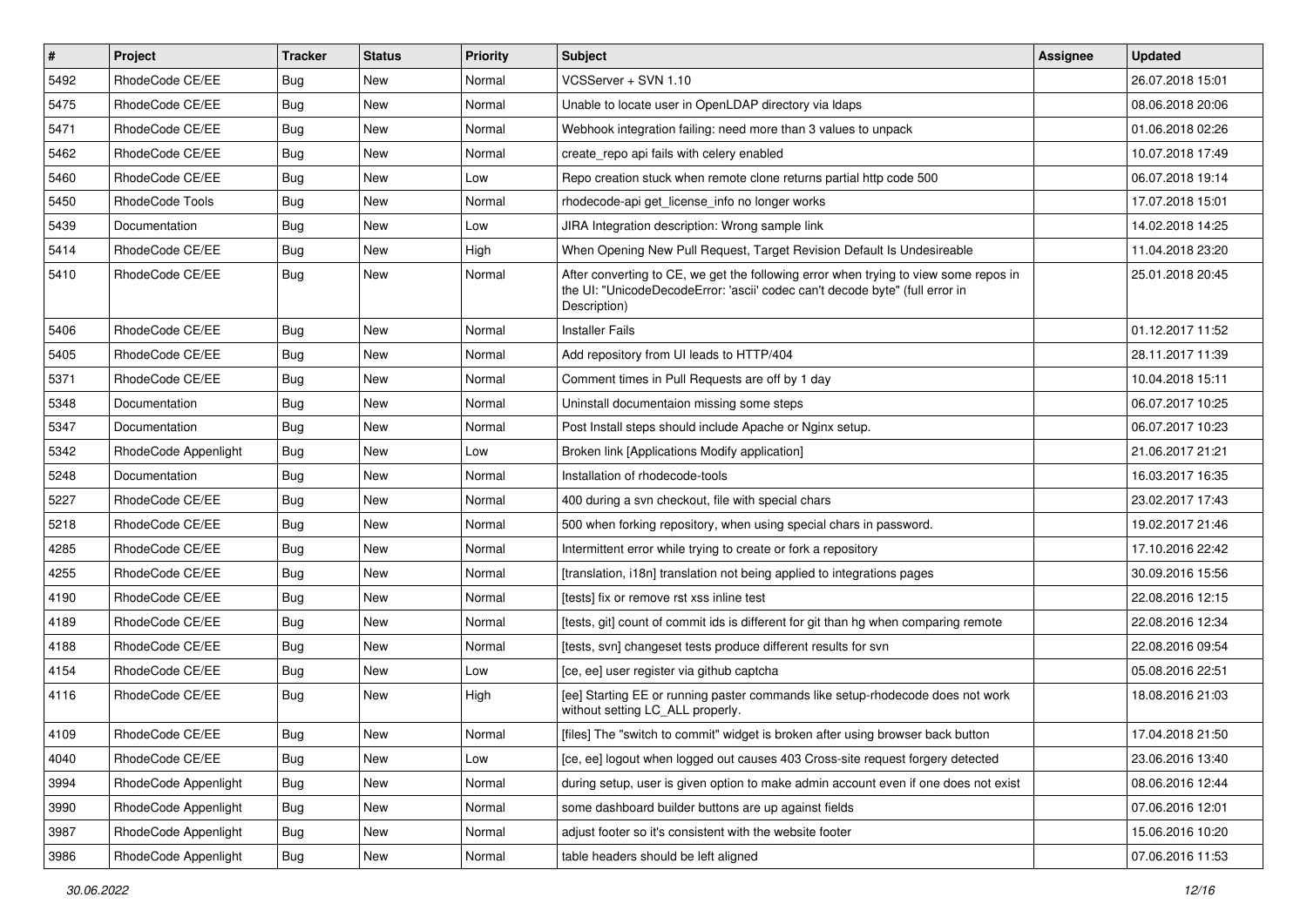| $\sharp$ | Project              | <b>Tracker</b> | <b>Status</b> | <b>Priority</b> | <b>Subject</b>                                                                                                                                                                       | <b>Assignee</b> | <b>Updated</b>   |
|----------|----------------------|----------------|---------------|-----------------|--------------------------------------------------------------------------------------------------------------------------------------------------------------------------------------|-----------------|------------------|
| 5492     | RhodeCode CE/EE      | <b>Bug</b>     | New           | Normal          | VCSServer + SVN 1.10                                                                                                                                                                 |                 | 26.07.2018 15:01 |
| 5475     | RhodeCode CE/EE      | Bug            | New           | Normal          | Unable to locate user in OpenLDAP directory via Idaps                                                                                                                                |                 | 08.06.2018 20:06 |
| 5471     | RhodeCode CE/EE      | Bug            | New           | Normal          | Webhook integration failing: need more than 3 values to unpack                                                                                                                       |                 | 01.06.2018 02:26 |
| 5462     | RhodeCode CE/EE      | Bug            | New           | Normal          | create_repo api fails with celery enabled                                                                                                                                            |                 | 10.07.2018 17:49 |
| 5460     | RhodeCode CE/EE      | Bug            | <b>New</b>    | Low             | Repo creation stuck when remote clone returns partial http code 500                                                                                                                  |                 | 06.07.2018 19:14 |
| 5450     | RhodeCode Tools      | Bug            | <b>New</b>    | Normal          | rhodecode-api get license info no longer works                                                                                                                                       |                 | 17.07.2018 15:01 |
| 5439     | Documentation        | Bug            | New           | Low             | JIRA Integration description: Wrong sample link                                                                                                                                      |                 | 14.02.2018 14:25 |
| 5414     | RhodeCode CE/EE      | Bug            | New           | High            | When Opening New Pull Request, Target Revision Default Is Undesireable                                                                                                               |                 | 11.04.2018 23:20 |
| 5410     | RhodeCode CE/EE      | Bug            | New           | Normal          | After converting to CE, we get the following error when trying to view some repos in<br>the UI: "UnicodeDecodeError: 'ascii' codec can't decode byte" (full error in<br>Description) |                 | 25.01.2018 20:45 |
| 5406     | RhodeCode CE/EE      | Bug            | <b>New</b>    | Normal          | <b>Installer Fails</b>                                                                                                                                                               |                 | 01.12.2017 11:52 |
| 5405     | RhodeCode CE/EE      | Bug            | <b>New</b>    | Normal          | Add repository from UI leads to HTTP/404                                                                                                                                             |                 | 28.11.2017 11:39 |
| 5371     | RhodeCode CE/EE      | Bug            | <b>New</b>    | Normal          | Comment times in Pull Requests are off by 1 day                                                                                                                                      |                 | 10.04.2018 15:11 |
| 5348     | Documentation        | <b>Bug</b>     | New           | Normal          | Uninstall documentaion missing some steps                                                                                                                                            |                 | 06.07.2017 10:25 |
| 5347     | Documentation        | Bug            | New           | Normal          | Post Install steps should include Apache or Nginx setup.                                                                                                                             |                 | 06.07.2017 10:23 |
| 5342     | RhodeCode Appenlight | Bug            | New           | Low             | Broken link [Applications Modify application]                                                                                                                                        |                 | 21.06.2017 21:21 |
| 5248     | Documentation        | Bug            | New           | Normal          | Installation of rhodecode-tools                                                                                                                                                      |                 | 16.03.2017 16:35 |
| 5227     | RhodeCode CE/EE      | Bug            | New           | Normal          | 400 during a svn checkout, file with special chars                                                                                                                                   |                 | 23.02.2017 17:43 |
| 5218     | RhodeCode CE/EE      | <b>Bug</b>     | New           | Normal          | 500 when forking repository, when using special chars in password.                                                                                                                   |                 | 19.02.2017 21:46 |
| 4285     | RhodeCode CE/EE      | Bug            | <b>New</b>    | Normal          | Intermittent error while trying to create or fork a repository                                                                                                                       |                 | 17.10.2016 22:42 |
| 4255     | RhodeCode CE/EE      | Bug            | New           | Normal          | [translation, i18n] translation not being applied to integrations pages                                                                                                              |                 | 30.09.2016 15:56 |
| 4190     | RhodeCode CE/EE      | Bug            | New           | Normal          | [tests] fix or remove rst xss inline test                                                                                                                                            |                 | 22.08.2016 12:15 |
| 4189     | RhodeCode CE/EE      | Bug            | New           | Normal          | [tests, git] count of commit ids is different for git than hg when comparing remote                                                                                                  |                 | 22.08.2016 12:34 |
| 4188     | RhodeCode CE/EE      | Bug            | New           | Normal          | [tests, svn] changeset tests produce different results for svn                                                                                                                       |                 | 22.08.2016 09:54 |
| 4154     | RhodeCode CE/EE      | <b>Bug</b>     | <b>New</b>    | Low             | [ce, ee] user register via github captcha                                                                                                                                            |                 | 05.08.2016 22:51 |
| 4116     | RhodeCode CE/EE      | Bug            | New           | High            | [ee] Starting EE or running paster commands like setup-rhodecode does not work<br>without setting LC ALL properly.                                                                   |                 | 18.08.2016 21:03 |
| 4109     | RhodeCode CE/EE      | Bug            | New           | Normal          | [files] The "switch to commit" widget is broken after using browser back button                                                                                                      |                 | 17.04.2018 21:50 |
| 4040     | RhodeCode CE/EE      | <b>Bug</b>     | New           | Low             | [ce, ee] logout when logged out causes 403 Cross-site request forgery detected                                                                                                       |                 | 23.06.2016 13:40 |
| 3994     | RhodeCode Appenlight | Bug            | New           | Normal          | during setup, user is given option to make admin account even if one does not exist                                                                                                  |                 | 08.06.2016 12:44 |
| 3990     | RhodeCode Appenlight | <b>Bug</b>     | New           | Normal          | some dashboard builder buttons are up against fields                                                                                                                                 |                 | 07.06.2016 12:01 |
| 3987     | RhodeCode Appenlight | Bug            | New           | Normal          | adjust footer so it's consistent with the website footer                                                                                                                             |                 | 15.06.2016 10:20 |
| 3986     | RhodeCode Appenlight | <b>Bug</b>     | New           | Normal          | table headers should be left aligned                                                                                                                                                 |                 | 07.06.2016 11:53 |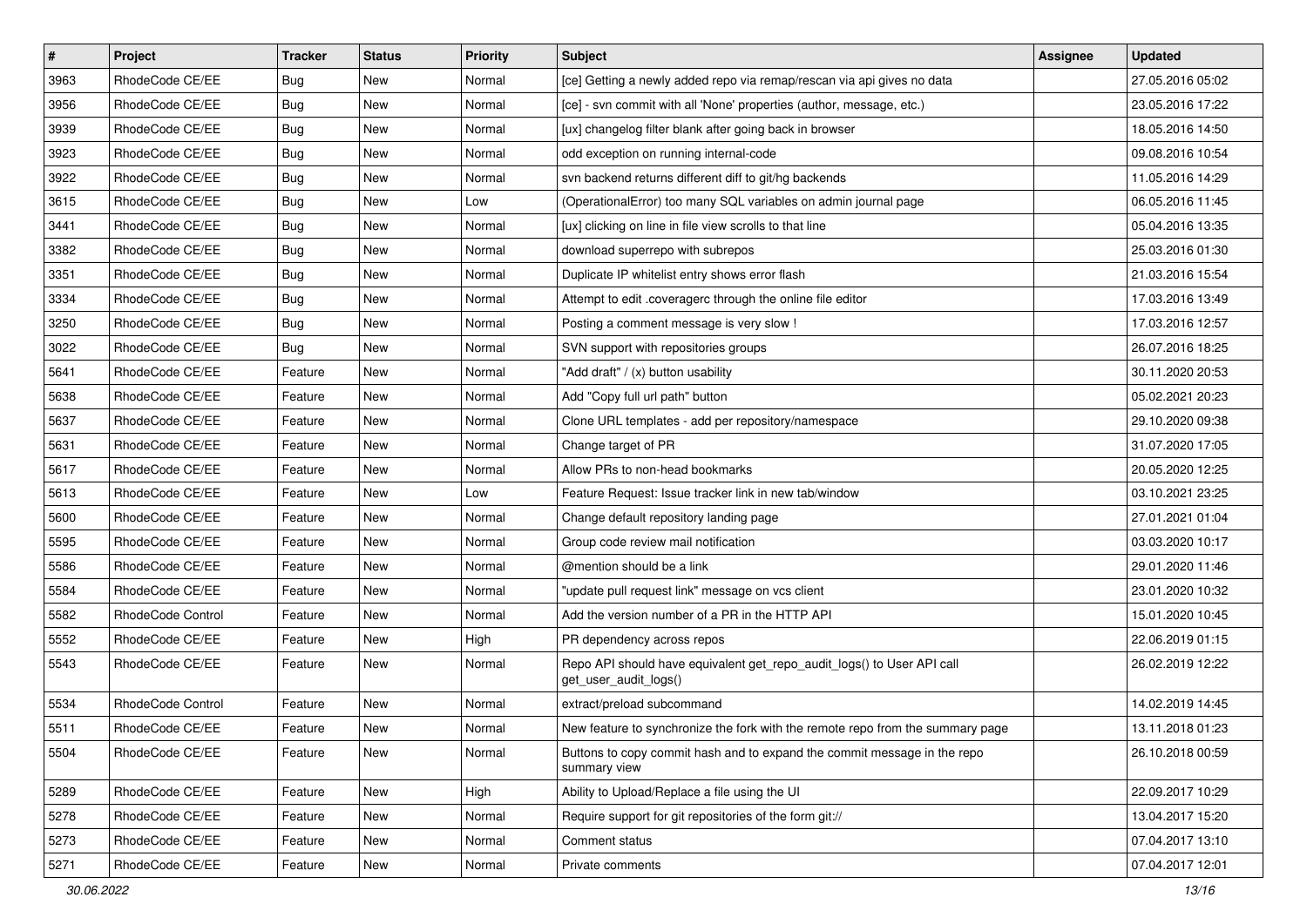| $\pmb{\#}$ | Project           | <b>Tracker</b> | <b>Status</b> | <b>Priority</b> | Subject                                                                                         | <b>Assignee</b> | <b>Updated</b>   |
|------------|-------------------|----------------|---------------|-----------------|-------------------------------------------------------------------------------------------------|-----------------|------------------|
| 3963       | RhodeCode CE/EE   | <b>Bug</b>     | New           | Normal          | [ce] Getting a newly added repo via remap/rescan via api gives no data                          |                 | 27.05.2016 05:02 |
| 3956       | RhodeCode CE/EE   | Bug            | New           | Normal          | [ce] - svn commit with all 'None' properties (author, message, etc.)                            |                 | 23.05.2016 17:22 |
| 3939       | RhodeCode CE/EE   | <b>Bug</b>     | New           | Normal          | [ux] changelog filter blank after going back in browser                                         |                 | 18.05.2016 14:50 |
| 3923       | RhodeCode CE/EE   | <b>Bug</b>     | New           | Normal          | odd exception on running internal-code                                                          |                 | 09.08.2016 10:54 |
| 3922       | RhodeCode CE/EE   | <b>Bug</b>     | New           | Normal          | svn backend returns different diff to git/hg backends                                           |                 | 11.05.2016 14:29 |
| 3615       | RhodeCode CE/EE   | <b>Bug</b>     | New           | Low             | (OperationalError) too many SQL variables on admin journal page                                 |                 | 06.05.2016 11:45 |
| 3441       | RhodeCode CE/EE   | <b>Bug</b>     | New           | Normal          | [ux] clicking on line in file view scrolls to that line                                         |                 | 05.04.2016 13:35 |
| 3382       | RhodeCode CE/EE   | <b>Bug</b>     | New           | Normal          | download superrepo with subrepos                                                                |                 | 25.03.2016 01:30 |
| 3351       | RhodeCode CE/EE   | <b>Bug</b>     | New           | Normal          | Duplicate IP whitelist entry shows error flash                                                  |                 | 21.03.2016 15:54 |
| 3334       | RhodeCode CE/EE   | Bug            | New           | Normal          | Attempt to edit .coveragerc through the online file editor                                      |                 | 17.03.2016 13:49 |
| 3250       | RhodeCode CE/EE   | <b>Bug</b>     | New           | Normal          | Posting a comment message is very slow !                                                        |                 | 17.03.2016 12:57 |
| 3022       | RhodeCode CE/EE   | <b>Bug</b>     | New           | Normal          | SVN support with repositories groups                                                            |                 | 26.07.2016 18:25 |
| 5641       | RhodeCode CE/EE   | Feature        | New           | Normal          | "Add draft" / (x) button usability                                                              |                 | 30.11.2020 20:53 |
| 5638       | RhodeCode CE/EE   | Feature        | New           | Normal          | Add "Copy full url path" button                                                                 |                 | 05.02.2021 20:23 |
| 5637       | RhodeCode CE/EE   | Feature        | New           | Normal          | Clone URL templates - add per repository/namespace                                              |                 | 29.10.2020 09:38 |
| 5631       | RhodeCode CE/EE   | Feature        | New           | Normal          | Change target of PR                                                                             |                 | 31.07.2020 17:05 |
| 5617       | RhodeCode CE/EE   | Feature        | New           | Normal          | Allow PRs to non-head bookmarks                                                                 |                 | 20.05.2020 12:25 |
| 5613       | RhodeCode CE/EE   | Feature        | New           | Low             | Feature Request: Issue tracker link in new tab/window                                           |                 | 03.10.2021 23:25 |
| 5600       | RhodeCode CE/EE   | Feature        | New           | Normal          | Change default repository landing page                                                          |                 | 27.01.2021 01:04 |
| 5595       | RhodeCode CE/EE   | Feature        | New           | Normal          | Group code review mail notification                                                             |                 | 03.03.2020 10:17 |
| 5586       | RhodeCode CE/EE   | Feature        | New           | Normal          | @mention should be a link                                                                       |                 | 29.01.2020 11:46 |
| 5584       | RhodeCode CE/EE   | Feature        | New           | Normal          | "update pull request link" message on vcs client                                                |                 | 23.01.2020 10:32 |
| 5582       | RhodeCode Control | Feature        | New           | Normal          | Add the version number of a PR in the HTTP API                                                  |                 | 15.01.2020 10:45 |
| 5552       | RhodeCode CE/EE   | Feature        | New           | High            | PR dependency across repos                                                                      |                 | 22.06.2019 01:15 |
| 5543       | RhodeCode CE/EE   | Feature        | New           | Normal          | Repo API should have equivalent get_repo_audit_logs() to User API call<br>get_user_audit_logs() |                 | 26.02.2019 12:22 |
| 5534       | RhodeCode Control | Feature        | New           | Normal          | extract/preload subcommand                                                                      |                 | 14.02.2019 14:45 |
| 5511       | RhodeCode CE/EE   | Feature        | New           | Normal          | New feature to synchronize the fork with the remote repo from the summary page                  |                 | 13.11.2018 01:23 |
| 5504       | RhodeCode CE/EE   | Feature        | New           | Normal          | Buttons to copy commit hash and to expand the commit message in the repo<br>summary view        |                 | 26.10.2018 00:59 |
| 5289       | RhodeCode CE/EE   | Feature        | New           | High            | Ability to Upload/Replace a file using the UI                                                   |                 | 22.09.2017 10:29 |
| 5278       | RhodeCode CE/EE   | Feature        | New           | Normal          | Require support for git repositories of the form git://                                         |                 | 13.04.2017 15:20 |
| 5273       | RhodeCode CE/EE   | Feature        | New           | Normal          | Comment status                                                                                  |                 | 07.04.2017 13:10 |
| 5271       | RhodeCode CE/EE   | Feature        | New           | Normal          | Private comments                                                                                |                 | 07.04.2017 12:01 |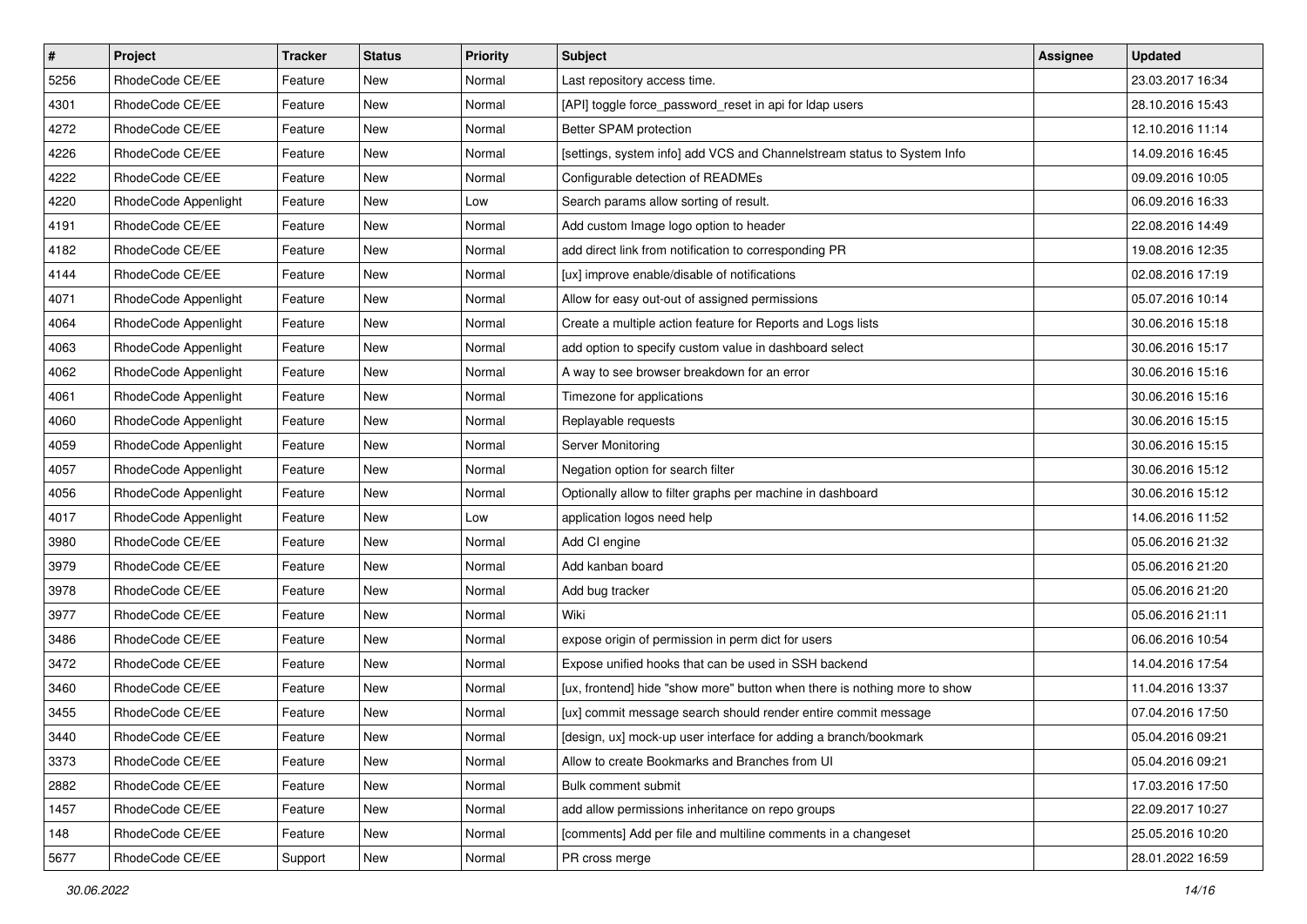| $\pmb{\#}$ | Project              | <b>Tracker</b> | <b>Status</b> | Priority | Subject                                                                   | <b>Assignee</b> | <b>Updated</b>   |
|------------|----------------------|----------------|---------------|----------|---------------------------------------------------------------------------|-----------------|------------------|
| 5256       | RhodeCode CE/EE      | Feature        | New           | Normal   | Last repository access time.                                              |                 | 23.03.2017 16:34 |
| 4301       | RhodeCode CE/EE      | Feature        | <b>New</b>    | Normal   | [API] toggle force_password_reset in api for Idap users                   |                 | 28.10.2016 15:43 |
| 4272       | RhodeCode CE/EE      | Feature        | New           | Normal   | Better SPAM protection                                                    |                 | 12.10.2016 11:14 |
| 4226       | RhodeCode CE/EE      | Feature        | New           | Normal   | [settings, system info] add VCS and Channelstream status to System Info   |                 | 14.09.2016 16:45 |
| 4222       | RhodeCode CE/EE      | Feature        | <b>New</b>    | Normal   | Configurable detection of READMEs                                         |                 | 09.09.2016 10:05 |
| 4220       | RhodeCode Appenlight | Feature        | New           | Low      | Search params allow sorting of result.                                    |                 | 06.09.2016 16:33 |
| 4191       | RhodeCode CE/EE      | Feature        | New           | Normal   | Add custom Image logo option to header                                    |                 | 22.08.2016 14:49 |
| 4182       | RhodeCode CE/EE      | Feature        | New           | Normal   | add direct link from notification to corresponding PR                     |                 | 19.08.2016 12:35 |
| 4144       | RhodeCode CE/EE      | Feature        | New           | Normal   | [ux] improve enable/disable of notifications                              |                 | 02.08.2016 17:19 |
| 4071       | RhodeCode Appenlight | Feature        | <b>New</b>    | Normal   | Allow for easy out-out of assigned permissions                            |                 | 05.07.2016 10:14 |
| 4064       | RhodeCode Appenlight | Feature        | New           | Normal   | Create a multiple action feature for Reports and Logs lists               |                 | 30.06.2016 15:18 |
| 4063       | RhodeCode Appenlight | Feature        | New           | Normal   | add option to specify custom value in dashboard select                    |                 | 30.06.2016 15:17 |
| 4062       | RhodeCode Appenlight | Feature        | <b>New</b>    | Normal   | A way to see browser breakdown for an error                               |                 | 30.06.2016 15:16 |
| 4061       | RhodeCode Appenlight | Feature        | New           | Normal   | Timezone for applications                                                 |                 | 30.06.2016 15:16 |
| 4060       | RhodeCode Appenlight | Feature        | <b>New</b>    | Normal   | Replayable requests                                                       |                 | 30.06.2016 15:15 |
| 4059       | RhodeCode Appenlight | Feature        | New           | Normal   | Server Monitoring                                                         |                 | 30.06.2016 15:15 |
| 4057       | RhodeCode Appenlight | Feature        | New           | Normal   | Negation option for search filter                                         |                 | 30.06.2016 15:12 |
| 4056       | RhodeCode Appenlight | Feature        | <b>New</b>    | Normal   | Optionally allow to filter graphs per machine in dashboard                |                 | 30.06.2016 15:12 |
| 4017       | RhodeCode Appenlight | Feature        | New           | Low      | application logos need help                                               |                 | 14.06.2016 11:52 |
| 3980       | RhodeCode CE/EE      | Feature        | New           | Normal   | Add CI engine                                                             |                 | 05.06.2016 21:32 |
| 3979       | RhodeCode CE/EE      | Feature        | New           | Normal   | Add kanban board                                                          |                 | 05.06.2016 21:20 |
| 3978       | RhodeCode CE/EE      | Feature        | New           | Normal   | Add bug tracker                                                           |                 | 05.06.2016 21:20 |
| 3977       | RhodeCode CE/EE      | Feature        | <b>New</b>    | Normal   | Wiki                                                                      |                 | 05.06.2016 21:11 |
| 3486       | RhodeCode CE/EE      | Feature        | New           | Normal   | expose origin of permission in perm dict for users                        |                 | 06.06.2016 10:54 |
| 3472       | RhodeCode CE/EE      | Feature        | New           | Normal   | Expose unified hooks that can be used in SSH backend                      |                 | 14.04.2016 17:54 |
| 3460       | RhodeCode CE/EE      | Feature        | New           | Normal   | [ux, frontend] hide "show more" button when there is nothing more to show |                 | 11.04.2016 13:37 |
| 3455       | RhodeCode CE/EE      | Feature        | New           | Normal   | [ux] commit message search should render entire commit message            |                 | 07.04.2016 17:50 |
| 3440       | RhodeCode CE/EE      | Feature        | New           | Normal   | [design, ux] mock-up user interface for adding a branch/bookmark          |                 | 05.04.2016 09:21 |
| 3373       | RhodeCode CE/EE      | Feature        | New           | Normal   | Allow to create Bookmarks and Branches from UI                            |                 | 05.04.2016 09:21 |
| 2882       | RhodeCode CE/EE      | Feature        | New           | Normal   | Bulk comment submit                                                       |                 | 17.03.2016 17:50 |
| 1457       | RhodeCode CE/EE      | Feature        | New           | Normal   | add allow permissions inheritance on repo groups                          |                 | 22.09.2017 10:27 |
| 148        | RhodeCode CE/EE      | Feature        | New           | Normal   | [comments] Add per file and multiline comments in a changeset             |                 | 25.05.2016 10:20 |
| 5677       | RhodeCode CE/EE      | Support        | New           | Normal   | PR cross merge                                                            |                 | 28.01.2022 16:59 |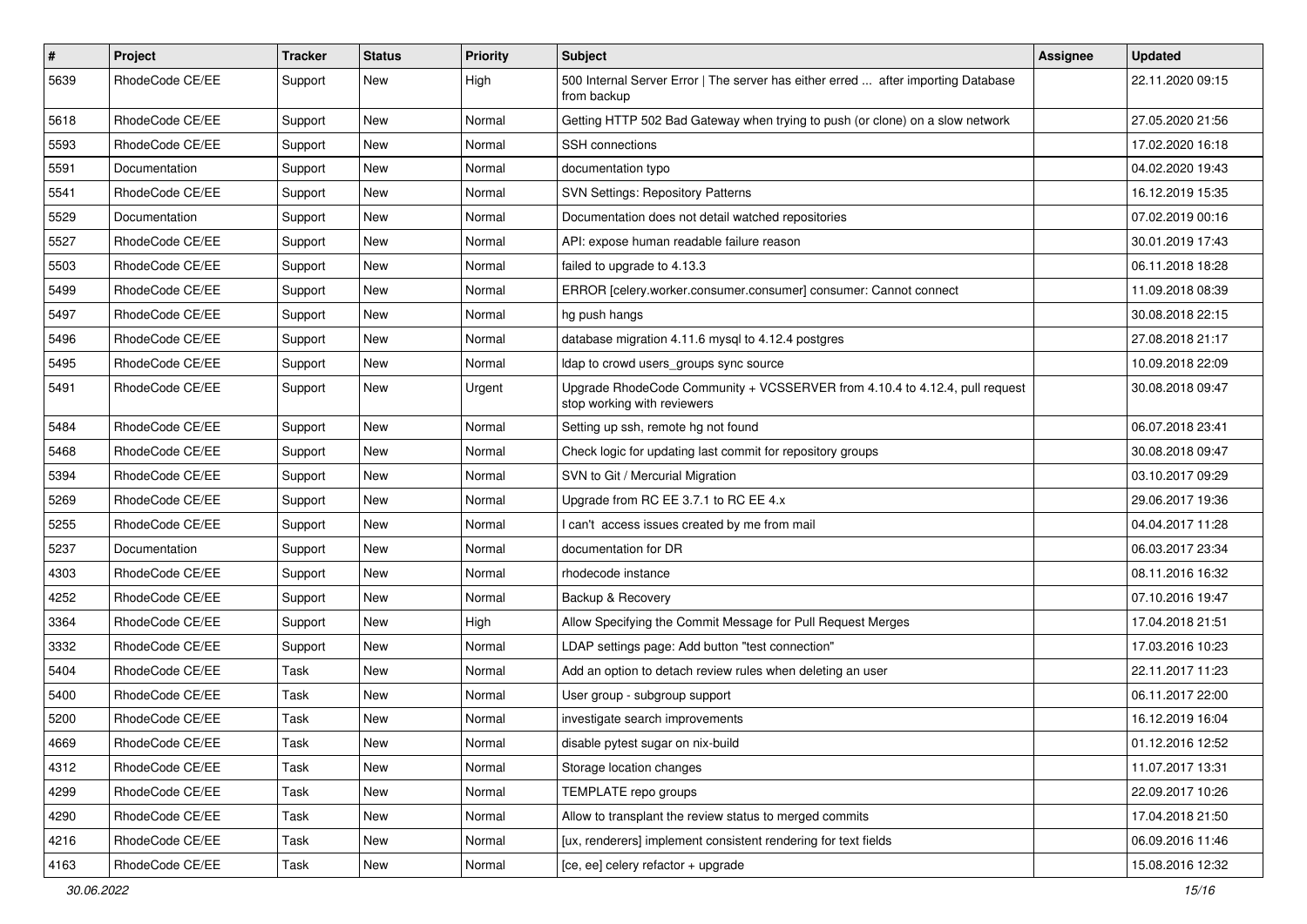| $\#$ | Project         | Tracker | <b>Status</b> | <b>Priority</b> | Subject                                                                                                    | Assignee | <b>Updated</b>   |
|------|-----------------|---------|---------------|-----------------|------------------------------------------------------------------------------------------------------------|----------|------------------|
| 5639 | RhodeCode CE/EE | Support | New           | High            | 500 Internal Server Error   The server has either erred  after importing Database<br>from backup           |          | 22.11.2020 09:15 |
| 5618 | RhodeCode CE/EE | Support | New           | Normal          | Getting HTTP 502 Bad Gateway when trying to push (or clone) on a slow network                              |          | 27.05.2020 21:56 |
| 5593 | RhodeCode CE/EE | Support | New           | Normal          | SSH connections                                                                                            |          | 17.02.2020 16:18 |
| 5591 | Documentation   | Support | New           | Normal          | documentation typo                                                                                         |          | 04.02.2020 19:43 |
| 5541 | RhodeCode CE/EE | Support | New           | Normal          | <b>SVN Settings: Repository Patterns</b>                                                                   |          | 16.12.2019 15:35 |
| 5529 | Documentation   | Support | New           | Normal          | Documentation does not detail watched repositories                                                         |          | 07.02.2019 00:16 |
| 5527 | RhodeCode CE/EE | Support | New           | Normal          | API: expose human readable failure reason                                                                  |          | 30.01.2019 17:43 |
| 5503 | RhodeCode CE/EE | Support | New           | Normal          | failed to upgrade to 4.13.3                                                                                |          | 06.11.2018 18:28 |
| 5499 | RhodeCode CE/EE | Support | New           | Normal          | ERROR [celery.worker.consumer.consumer] consumer: Cannot connect                                           |          | 11.09.2018 08:39 |
| 5497 | RhodeCode CE/EE | Support | New           | Normal          | hg push hangs                                                                                              |          | 30.08.2018 22:15 |
| 5496 | RhodeCode CE/EE | Support | New           | Normal          | database migration 4.11.6 mysql to 4.12.4 postgres                                                         |          | 27.08.2018 21:17 |
| 5495 | RhodeCode CE/EE | Support | New           | Normal          | Idap to crowd users_groups sync source                                                                     |          | 10.09.2018 22:09 |
| 5491 | RhodeCode CE/EE | Support | New           | Urgent          | Upgrade RhodeCode Community + VCSSERVER from 4.10.4 to 4.12.4, pull request<br>stop working with reviewers |          | 30.08.2018 09:47 |
| 5484 | RhodeCode CE/EE | Support | New           | Normal          | Setting up ssh, remote hg not found                                                                        |          | 06.07.2018 23:41 |
| 5468 | RhodeCode CE/EE | Support | New           | Normal          | Check logic for updating last commit for repository groups                                                 |          | 30.08.2018 09:47 |
| 5394 | RhodeCode CE/EE | Support | New           | Normal          | SVN to Git / Mercurial Migration                                                                           |          | 03.10.2017 09:29 |
| 5269 | RhodeCode CE/EE | Support | New           | Normal          | Upgrade from RC EE 3.7.1 to RC EE 4.x                                                                      |          | 29.06.2017 19:36 |
| 5255 | RhodeCode CE/EE | Support | New           | Normal          | I can't access issues created by me from mail                                                              |          | 04.04.2017 11:28 |
| 5237 | Documentation   | Support | New           | Normal          | documentation for DR                                                                                       |          | 06.03.2017 23:34 |
| 4303 | RhodeCode CE/EE | Support | New           | Normal          | rhodecode instance                                                                                         |          | 08.11.2016 16:32 |
| 4252 | RhodeCode CE/EE | Support | New           | Normal          | Backup & Recovery                                                                                          |          | 07.10.2016 19:47 |
| 3364 | RhodeCode CE/EE | Support | New           | High            | Allow Specifying the Commit Message for Pull Request Merges                                                |          | 17.04.2018 21:51 |
| 3332 | RhodeCode CE/EE | Support | New           | Normal          | LDAP settings page: Add button "test connection"                                                           |          | 17.03.2016 10:23 |
| 5404 | RhodeCode CE/EE | Task    | <b>New</b>    | Normal          | Add an option to detach review rules when deleting an user                                                 |          | 22.11.2017 11:23 |
| 5400 | RhodeCode CE/EE | Task    | New           | Normal          | User group - subgroup support                                                                              |          | 06.11.2017 22:00 |
| 5200 | RhodeCode CE/EE | Task    | New           | Normal          | investigate search improvements                                                                            |          | 16.12.2019 16:04 |
| 4669 | RhodeCode CE/EE | Task    | New           | Normal          | disable pytest sugar on nix-build                                                                          |          | 01.12.2016 12:52 |
| 4312 | RhodeCode CE/EE | Task    | New           | Normal          | Storage location changes                                                                                   |          | 11.07.2017 13:31 |
| 4299 | RhodeCode CE/EE | Task    | New           | Normal          | TEMPLATE repo groups                                                                                       |          | 22.09.2017 10:26 |
| 4290 | RhodeCode CE/EE | Task    | New           | Normal          | Allow to transplant the review status to merged commits                                                    |          | 17.04.2018 21:50 |
| 4216 | RhodeCode CE/EE | Task    | New           | Normal          | [ux, renderers] implement consistent rendering for text fields                                             |          | 06.09.2016 11:46 |
| 4163 | RhodeCode CE/EE | Task    | New           | Normal          | [ce, ee] celery refactor + upgrade                                                                         |          | 15.08.2016 12:32 |